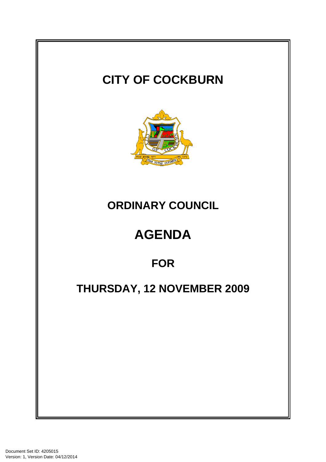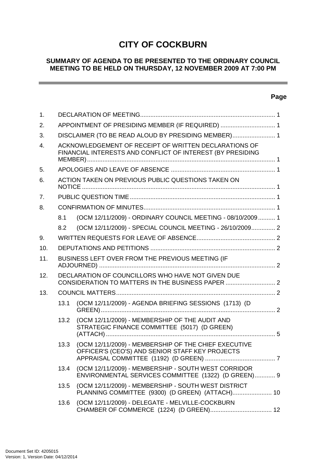# **CITY OF COCKBURN**

### **SUMMARY OF AGENDA TO BE PRESENTED TO THE ORDINARY COUNCIL MEETING TO BE HELD ON THURSDAY, 12 NOVEMBER 2009 AT 7:00 PM**

### **Page**

 $\equiv$ 

| 1.               |                                                     |                                                                                                                     |  |  |  |
|------------------|-----------------------------------------------------|---------------------------------------------------------------------------------------------------------------------|--|--|--|
| 2.               | APPOINTMENT OF PRESIDING MEMBER (IF REQUIRED)  1    |                                                                                                                     |  |  |  |
| 3.               | DISCLAIMER (TO BE READ ALOUD BY PRESIDING MEMBER) 1 |                                                                                                                     |  |  |  |
| $\overline{4}$ . |                                                     | ACKNOWLEDGEMENT OF RECEIPT OF WRITTEN DECLARATIONS OF<br>FINANCIAL INTERESTS AND CONFLICT OF INTEREST (BY PRESIDING |  |  |  |
| 5.               |                                                     |                                                                                                                     |  |  |  |
| 6.               |                                                     | ACTION TAKEN ON PREVIOUS PUBLIC QUESTIONS TAKEN ON                                                                  |  |  |  |
| 7.               |                                                     |                                                                                                                     |  |  |  |
| 8.               |                                                     |                                                                                                                     |  |  |  |
|                  | 8.1                                                 | (OCM 12/11/2009) - ORDINARY COUNCIL MEETING - 08/10/2009 1                                                          |  |  |  |
|                  | 8.2                                                 | (OCM 12/11/2009) - SPECIAL COUNCIL MEETING - 26/10/2009 2                                                           |  |  |  |
| 9.               |                                                     |                                                                                                                     |  |  |  |
| 10.              |                                                     |                                                                                                                     |  |  |  |
| 11.              |                                                     | BUSINESS LEFT OVER FROM THE PREVIOUS MEETING (IF                                                                    |  |  |  |
| 12.              |                                                     | DECLARATION OF COUNCILLORS WHO HAVE NOT GIVEN DUE<br>CONSIDERATION TO MATTERS IN THE BUSINESS PAPER  2              |  |  |  |
| 13.              |                                                     |                                                                                                                     |  |  |  |
|                  | 13.1                                                | (OCM 12/11/2009) - AGENDA BRIEFING SESSIONS (1713) (D                                                               |  |  |  |
|                  | 13.2                                                | (OCM 12/11/2009) - MEMBERSHIP OF THE AUDIT AND<br>STRATEGIC FINANCE COMMITTEE (5017) (D GREEN)                      |  |  |  |
|                  | 13.3                                                | (OCM 12/11/2009) - MEMBERSHIP OF THE CHIEF EXECUTIVE<br>OFFICER'S (CEO'S) AND SENIOR STAFF KEY PROJECTS             |  |  |  |
|                  | 13.4                                                | (OCM 12/11/2009) - MEMBERSHIP - SOUTH WEST CORRIDOR<br>ENVIRONMENTAL SERVICES COMMITTEE (1322) (D GREEN) 9          |  |  |  |
|                  | 13.5                                                | (OCM 12/11/2009) - MEMBERSHIP - SOUTH WEST DISTRICT<br>PLANNING COMMITTEE (9300) (D GREEN) (ATTACH) 10              |  |  |  |
|                  | 13.6                                                | (OCM 12/11/2009) - DELEGATE - MELVILLE-COCKBURN                                                                     |  |  |  |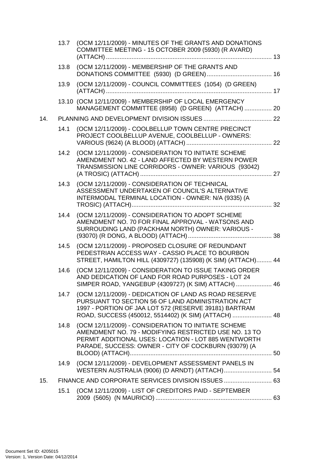|     |      | 13.7 (OCM 12/11/2009) - MINUTES OF THE GRANTS AND DONATIONS<br>COMMITTEE MEETING - 15 OCTOBER 2009 (5930) (R AVARD)                                                                                                          |  |
|-----|------|------------------------------------------------------------------------------------------------------------------------------------------------------------------------------------------------------------------------------|--|
|     | 13.8 | (OCM 12/11/2009) - MEMBERSHIP OF THE GRANTS AND                                                                                                                                                                              |  |
|     | 13.9 | (OCM 12/11/2009) - COUNCIL COMMITTEES (1054) (D GREEN)                                                                                                                                                                       |  |
|     |      | 13.10 (OCM 12/11/2009) - MEMBERSHIP OF LOCAL EMERGENCY<br>MANAGEMENT COMMITTEE (8958) (D GREEN) (ATTACH)  20                                                                                                                 |  |
| 14. |      |                                                                                                                                                                                                                              |  |
|     | 14.1 | (OCM 12/11/2009) - COOLBELLUP TOWN CENTRE PRECINCT<br>PROJECT COOLBELLUP AVENUE, COOLBELLUP - OWNERS:                                                                                                                        |  |
|     |      | 14.2 (OCM 12/11/2009) - CONSIDERATION TO INITIATE SCHEME<br>AMENDMENT NO. 42 - LAND AFFECTED BY WESTERN POWER<br>TRANSMISSION LINE CORRIDORS - OWNER: VARIOUS (93042)                                                        |  |
|     | 14.3 | (OCM 12/11/2009) - CONSIDERATION OF TECHNICAL<br>ASSESSMENT UNDERTAKEN OF COUNCIL'S ALTERNATIVE<br>INTERMODAL TERMINAL LOCATION - OWNER: N/A (9335) (A                                                                       |  |
|     | 14.4 | (OCM 12/11/2009) - CONSIDERATION TO ADOPT SCHEME<br>AMENDMENT NO. 70 FOR FINAL APPROVAL - WATSONS AND<br>SURROUDING LAND (PACKHAM NORTH) OWNER: VARIOUS -                                                                    |  |
|     | 14.5 | (OCM 12/11/2009) - PROPOSED CLOSURE OF REDUNDANT<br>PEDESTRIAN ACCESS WAY - CASSIO PLACE TO BOURBON<br>STREET, HAMILTON HILL (4309727) (135908) (K SIM) (ATTACH) 44                                                          |  |
|     | 14.6 | (OCM 12/11/2009) - CONSIDERATION TO ISSUE TAKING ORDER<br>AND DEDICATION OF LAND FOR ROAD PURPOSES - LOT 24<br>SIMPER ROAD, YANGEBUP (4309727) (K SIM) ATTACH)  46                                                           |  |
|     | 14.7 | (OCM 12/11/2009) - DEDICATION OF LAND AS ROAD RESERVE<br>PURSUANT TO SECTION 56 OF LAND ADMINISTRATION ACT<br>1997 - PORTION OF JAA LOT 572 (RESERVE 39181) BARTRAM<br>ROAD, SUCCESS (450012, 5514402) (K SIM) (ATTACH)  48  |  |
|     | 14.8 | (OCM 12/11/2009) - CONSIDERATION TO INITIATE SCHEME<br>AMENDMENT NO. 79 - MODIFYING RESTRICTED USE NO. 13 TO<br>PERMIT ADDITIONAL USES: LOCATION - LOT 885 WENTWORTH<br>PARADE, SUCCESS: OWNER - CITY OF COCKBURN (93079) (A |  |
|     | 14.9 | (OCM 12/11/2009) - DEVELOPMENT ASSESSMENT PANELS IN<br>WESTERN AUSTRALIA (9006) (D ARNDT) (ATTACH) 54                                                                                                                        |  |
| 15. |      | FINANCE AND CORPORATE SERVICES DIVISION ISSUES  63                                                                                                                                                                           |  |
|     | 15.1 | (OCM 12/11/2009) - LIST OF CREDITORS PAID - SEPTEMBER                                                                                                                                                                        |  |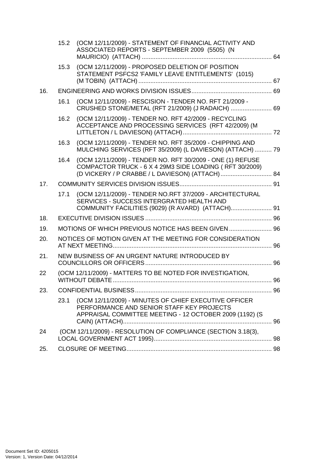|     | 15.2 | (OCM 12/11/2009) - STATEMENT OF FINANCIAL ACTIVITY AND<br>ASSOCIATED REPORTS - SEPTEMBER 2009 (5505) (N                                                       |  |
|-----|------|---------------------------------------------------------------------------------------------------------------------------------------------------------------|--|
|     | 15.3 | (OCM 12/11/2009) - PROPOSED DELETION OF POSITION<br>STATEMENT PSFCS2 'FAMILY LEAVE ENTITLEMENTS' (1015)                                                       |  |
| 16. |      |                                                                                                                                                               |  |
|     | 16.1 | (OCM 12/11/2009) - RESCISION - TENDER NO. RFT 21/2009 -<br>CRUSHED STONE/METAL (RFT 21/2009) (J RADAICH)  69                                                  |  |
|     | 16.2 | (OCM 12/11/2009) - TENDER NO. RFT 42/2009 - RECYCLING<br>ACCEPTANCE AND PROCESSING SERVICES (RFT 42/2009) (M                                                  |  |
|     | 16.3 | (OCM 12/11/2009) - TENDER NO. RFT 35/2009 - CHIPPING AND<br>MULCHING SERVICES (RFT 35/2009) (L DAVIESON) (ATTACH)  79                                         |  |
|     | 16.4 | (OCM 12/11/2009) - TENDER NO. RFT 30/2009 - ONE (1) REFUSE<br>COMPACTOR TRUCK - 6 X 4 29M3 SIDE LOADING (RFT 30/2009)                                         |  |
| 17. |      |                                                                                                                                                               |  |
|     | 17.1 | (OCM 12/11/2009) - TENDER NO.RFT 37/2009 - ARCHITECTURAL<br>SERVICES - SUCCESS INTERGRATED HEALTH AND                                                         |  |
| 18. |      |                                                                                                                                                               |  |
| 19. |      | MOTIONS OF WHICH PREVIOUS NOTICE HAS BEEN GIVEN  96                                                                                                           |  |
| 20. |      | NOTICES OF MOTION GIVEN AT THE MEETING FOR CONSIDERATION                                                                                                      |  |
| 21. |      | NEW BUSINESS OF AN URGENT NATURE INTRODUCED BY                                                                                                                |  |
| 22  |      | (OCM 12/11/2009) - MATTERS TO BE NOTED FOR INVESTIGATION,                                                                                                     |  |
| 23. |      |                                                                                                                                                               |  |
|     | 23.1 | (OCM 12/11/2009) - MINUTES OF CHIEF EXECUTIVE OFFICER<br>PERFORMANCE AND SENIOR STAFF KEY PROJECTS<br>APPRAISAL COMMITTEE MEETING - 12 OCTOBER 2009 (1192) (S |  |
| 24  |      | (OCM 12/11/2009) - RESOLUTION OF COMPLIANCE (SECTION 3.18(3),                                                                                                 |  |
| 25. |      |                                                                                                                                                               |  |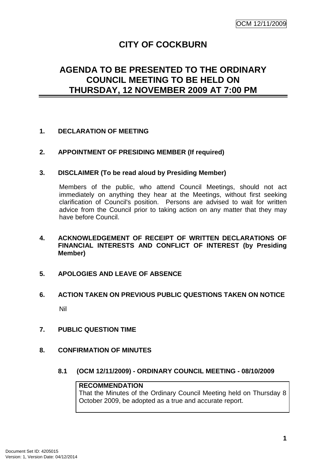# **CITY OF COCKBURN**

## **AGENDA TO BE PRESENTED TO THE ORDINARY COUNCIL MEETING TO BE HELD ON THURSDAY, 12 NOVEMBER 2009 AT 7:00 PM**

### **1. DECLARATION OF MEETING**

**2. APPOINTMENT OF PRESIDING MEMBER (If required)** 

#### **3. DISCLAIMER (To be read aloud by Presiding Member)**

Members of the public, who attend Council Meetings, should not act immediately on anything they hear at the Meetings, without first seeking clarification of Council's position. Persons are advised to wait for written advice from the Council prior to taking action on any matter that they may have before Council.

- **4. ACKNOWLEDGEMENT OF RECEIPT OF WRITTEN DECLARATIONS OF FINANCIAL INTERESTS AND CONFLICT OF INTEREST (by Presiding Member)**
- **5. APOLOGIES AND LEAVE OF ABSENCE**
- **6. ACTION TAKEN ON PREVIOUS PUBLIC QUESTIONS TAKEN ON NOTICE**  Nil
- **7. PUBLIC QUESTION TIME**
- **8. CONFIRMATION OF MINUTES** 
	- **8.1 (OCM 12/11/2009) ORDINARY COUNCIL MEETING 08/10/2009**

#### **RECOMMENDATION**

That the Minutes of the Ordinary Council Meeting held on Thursday 8 October 2009, be adopted as a true and accurate report.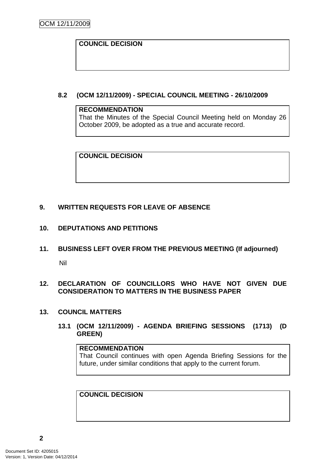### **COUNCIL DECISION**

**8.2 (OCM 12/11/2009) - SPECIAL COUNCIL MEETING - 26/10/2009** 

#### **RECOMMENDATION**

That the Minutes of the Special Council Meeting held on Monday 26 October 2009, be adopted as a true and accurate record.

**COUNCIL DECISION** 

### **9. WRITTEN REQUESTS FOR LEAVE OF ABSENCE**

### **10. DEPUTATIONS AND PETITIONS**

**11. BUSINESS LEFT OVER FROM THE PREVIOUS MEETING (If adjourned)** 

Nil

### **12. DECLARATION OF COUNCILLORS WHO HAVE NOT GIVEN DUE CONSIDERATION TO MATTERS IN THE BUSINESS PAPER**

#### **13. COUNCIL MATTERS**

**13.1 (OCM 12/11/2009) - AGENDA BRIEFING SESSIONS (1713) (D GREEN)** 

### **RECOMMENDATION**

That Council continues with open Agenda Briefing Sessions for the future, under similar conditions that apply to the current forum.

**COUNCIL DECISION**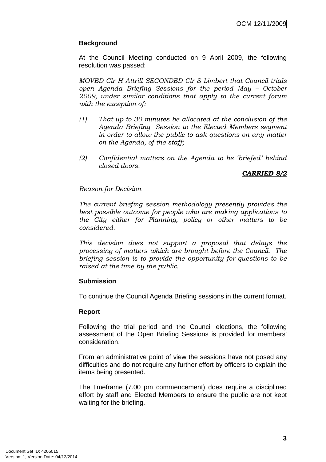### **Background**

At the Council Meeting conducted on 9 April 2009, the following resolution was passed:

MOVED Clr H Attrill SECONDED Clr S Limbert that Council trials open Agenda Briefing Sessions for the period May – October 2009, under similar conditions that apply to the current forum with the exception of:

- (1) That up to 30 minutes be allocated at the conclusion of the Agenda Briefing Session to the Elected Members segment in order to allow the public to ask questions on any matter on the Agenda, of the staff;
- (2) Confidential matters on the Agenda to be 'briefed' behind closed doors.

### CARRIED 8/2

#### Reason for Decision

The current briefing session methodology presently provides the best possible outcome for people who are making applications to the City either for Planning, policy or other matters to be considered.

This decision does not support a proposal that delays the processing of matters which are brought before the Council. The briefing session is to provide the opportunity for questions to be raised at the time by the public.

#### **Submission**

To continue the Council Agenda Briefing sessions in the current format.

#### **Report**

Following the trial period and the Council elections, the following assessment of the Open Briefing Sessions is provided for members' consideration.

From an administrative point of view the sessions have not posed any difficulties and do not require any further effort by officers to explain the items being presented.

The timeframe (7.00 pm commencement) does require a disciplined effort by staff and Elected Members to ensure the public are not kept waiting for the briefing.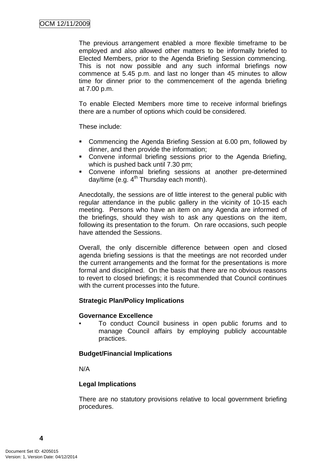The previous arrangement enabled a more flexible timeframe to be employed and also allowed other matters to be informally briefed to Elected Members, prior to the Agenda Briefing Session commencing. This is not now possible and any such informal briefings now commence at 5.45 p.m. and last no longer than 45 minutes to allow time for dinner prior to the commencement of the agenda briefing at 7.00 p.m.

To enable Elected Members more time to receive informal briefings there are a number of options which could be considered.

These include:

- Commencing the Agenda Briefing Session at 6.00 pm, followed by dinner, and then provide the information;
- Convene informal briefing sessions prior to the Agenda Briefing, which is pushed back until 7.30 pm;
- Convene informal briefing sessions at another pre-determined day/time (e.g.  $4<sup>th</sup>$  Thursday each month).

Anecdotally, the sessions are of little interest to the general public with regular attendance in the public gallery in the vicinity of 10-15 each meeting. Persons who have an item on any Agenda are informed of the briefings, should they wish to ask any questions on the item, following its presentation to the forum. On rare occasions, such people have attended the Sessions.

Overall, the only discernible difference between open and closed agenda briefing sessions is that the meetings are not recorded under the current arrangements and the format for the presentations is more formal and disciplined. On the basis that there are no obvious reasons to revert to closed briefings; it is recommended that Council continues with the current processes into the future.

#### **Strategic Plan/Policy Implications**

#### **Governance Excellence**

• To conduct Council business in open public forums and to manage Council affairs by employing publicly accountable practices.

#### **Budget/Financial Implications**

N/A

#### **Legal Implications**

There are no statutory provisions relative to local government briefing procedures.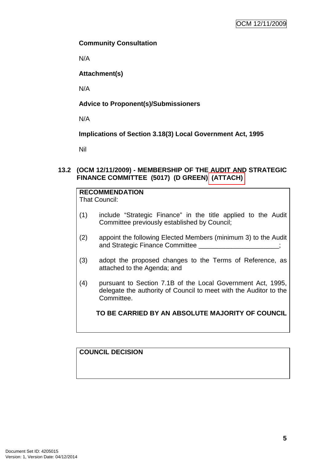### **Community Consultation**

N/A

### **Attachment(s)**

N/A

### **Advice to Proponent(s)/Submissioners**

N/A

### **Implications of Section 3.18(3) Local Government Act, 1995**

Nil

### **13.2 (OCM 12/11/2009) - MEMBERSHIP OF THE AUDIT AND STRATEGIC FINANCE COMMITTEE (5017) (D GREEN) (ATTACH)**

## **RECOMMENDATION**

That Council:

- (1) include "Strategic Finance" in the title applied to the Audit Committee previously established by Council;
- (2) appoint the following Elected Members (minimum 3) to the Audit and Strategic Finance Committee \_\_\_\_\_\_\_\_\_\_\_\_\_\_\_\_\_\_;
- (3) adopt the proposed changes to the Terms of Reference, as attached to the Agenda; and
- (4) pursuant to Section 7.1B of the Local Government Act, 1995, delegate the authority of Council to meet with the Auditor to the Committee.

**TO BE CARRIED BY AN ABSOLUTE MAJORITY OF COUNCIL**

### **COUNCIL DECISION**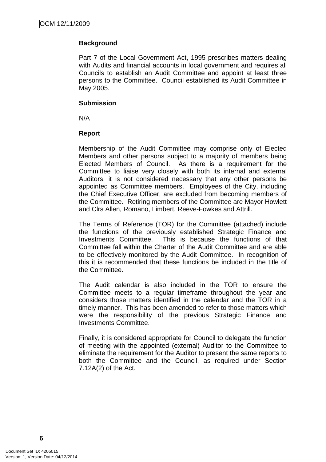### **Background**

Part 7 of the Local Government Act, 1995 prescribes matters dealing with Audits and financial accounts in local government and requires all Councils to establish an Audit Committee and appoint at least three persons to the Committee. Council established its Audit Committee in May 2005.

#### **Submission**

N/A

### **Report**

Membership of the Audit Committee may comprise only of Elected Members and other persons subject to a majority of members being Elected Members of Council. As there is a requirement for the Committee to liaise very closely with both its internal and external Auditors, it is not considered necessary that any other persons be appointed as Committee members. Employees of the City, including the Chief Executive Officer, are excluded from becoming members of the Committee. Retiring members of the Committee are Mayor Howlett and Clrs Allen, Romano, Limbert, Reeve-Fowkes and Attrill.

The Terms of Reference (TOR) for the Committee (attached) include the functions of the previously established Strategic Finance and Investments Committee. This is because the functions of that Committee fall within the Charter of the Audit Committee and are able to be effectively monitored by the Audit Committee. In recognition of this it is recommended that these functions be included in the title of the Committee.

The Audit calendar is also included in the TOR to ensure the Committee meets to a regular timeframe throughout the year and considers those matters identified in the calendar and the TOR in a timely manner. This has been amended to refer to those matters which were the responsibility of the previous Strategic Finance and Investments Committee.

Finally, it is considered appropriate for Council to delegate the function of meeting with the appointed (external) Auditor to the Committee to eliminate the requirement for the Auditor to present the same reports to both the Committee and the Council, as required under Section 7.12A(2) of the Act.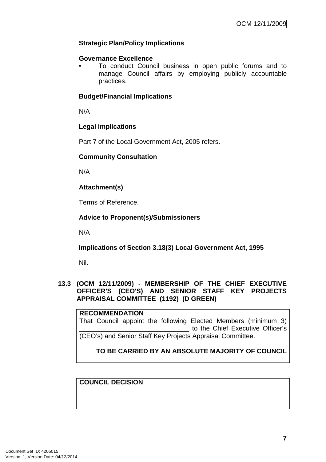### **Strategic Plan/Policy Implications**

#### **Governance Excellence**

• To conduct Council business in open public forums and to manage Council affairs by employing publicly accountable practices.

#### **Budget/Financial Implications**

N/A

#### **Legal Implications**

Part 7 of the Local Government Act, 2005 refers.

#### **Community Consultation**

N/A

**Attachment(s)**

Terms of Reference.

### **Advice to Proponent(s)/Submissioners**

N/A

**Implications of Section 3.18(3) Local Government Act, 1995**

Nil.

### **13.3 (OCM 12/11/2009) - MEMBERSHIP OF THE CHIEF EXECUTIVE OFFICER'S (CEO'S) AND SENIOR STAFF KEY PROJECTS APPRAISAL COMMITTEE (1192) (D GREEN)**

**RECOMMENDATION** That Council appoint the following Elected Members (minimum 3) to the Chief Executive Officer's (CEO's) and Senior Staff Key Projects Appraisal Committee.

**TO BE CARRIED BY AN ABSOLUTE MAJORITY OF COUNCIL**

**COUNCIL DECISION**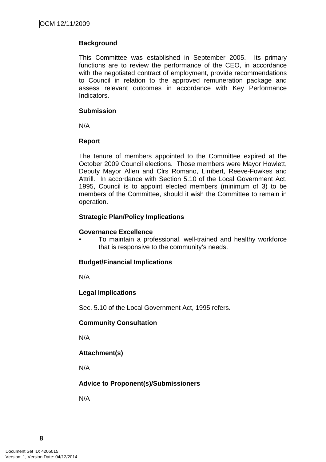### **Background**

This Committee was established in September 2005. Its primary functions are to review the performance of the CEO, in accordance with the negotiated contract of employment, provide recommendations to Council in relation to the approved remuneration package and assess relevant outcomes in accordance with Key Performance Indicators.

### **Submission**

N/A

### **Report**

The tenure of members appointed to the Committee expired at the October 2009 Council elections. Those members were Mayor Howlett, Deputy Mayor Allen and Clrs Romano, Limbert, Reeve-Fowkes and Attrill. In accordance with Section 5.10 of the Local Government Act, 1995, Council is to appoint elected members (minimum of 3) to be members of the Committee, should it wish the Committee to remain in operation.

### **Strategic Plan/Policy Implications**

#### **Governance Excellence**

• To maintain a professional, well-trained and healthy workforce that is responsive to the community's needs.

### **Budget/Financial Implications**

N/A

### **Legal Implications**

Sec. 5.10 of the Local Government Act, 1995 refers.

#### **Community Consultation**

N/A

### **Attachment(s)**

N/A

### **Advice to Proponent(s)/Submissioners**

N/A

**8**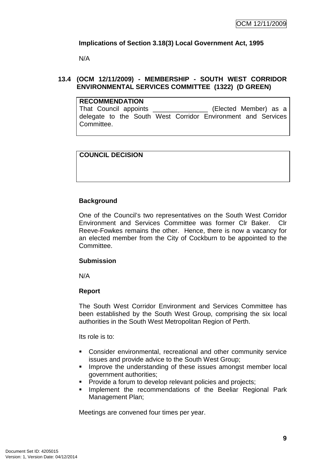### **Implications of Section 3.18(3) Local Government Act, 1995**

N/A

### **13.4 (OCM 12/11/2009) - MEMBERSHIP - SOUTH WEST CORRIDOR ENVIRONMENTAL SERVICES COMMITTEE (1322) (D GREEN)**

| <b>RECOMMENDATION</b>                                            |  |  |  |  |  |                                                              |  |  |
|------------------------------------------------------------------|--|--|--|--|--|--------------------------------------------------------------|--|--|
| That Council appoints _____________________(Elected Member) as a |  |  |  |  |  |                                                              |  |  |
| Committee.                                                       |  |  |  |  |  | delegate to the South West Corridor Environment and Services |  |  |

#### **COUNCIL DECISION**

#### **Background**

One of the Council's two representatives on the South West Corridor Environment and Services Committee was former Clr Baker. Clr Reeve-Fowkes remains the other. Hence, there is now a vacancy for an elected member from the City of Cockburn to be appointed to the Committee.

#### **Submission**

N/A

#### **Report**

The South West Corridor Environment and Services Committee has been established by the South West Group, comprising the six local authorities in the South West Metropolitan Region of Perth.

Its role is to:

- Consider environmental, recreational and other community service issues and provide advice to the South West Group;
- **IMPROVE the understanding of these issues amongst member local** government authorities;
- **Provide a forum to develop relevant policies and projects;**
- **Implement the recommendations of the Beeliar Regional Park** Management Plan;

Meetings are convened four times per year.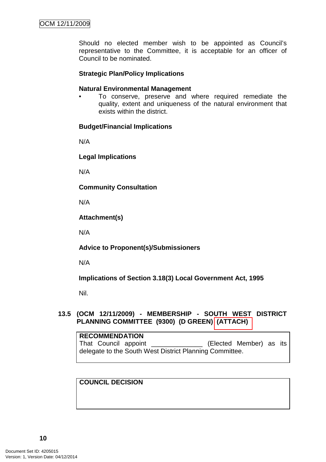Should no elected member wish to be appointed as Council's representative to the Committee, it is acceptable for an officer of Council to be nominated.

#### **Strategic Plan/Policy Implications**

#### **Natural Environmental Management**

• To conserve, preserve and where required remediate the quality, extent and uniqueness of the natural environment that exists within the district.

#### **Budget/Financial Implications**

N/A

#### **Legal Implications**

N/A

**Community Consultation** 

N/A

**Attachment(s)**

N/A

**Advice to Proponent(s)/Submissioners** 

N/A

**Implications of Section 3.18(3) Local Government Act, 1995**

Nil.

#### **13.5 (OCM 12/11/2009) - MEMBERSHIP - SOUTH WEST DISTRICT PLANNING COMMITTEE (9300) (D GREEN) (ATTACH)**

**RECOMMENDATION** That Council appoint \_\_\_\_\_\_\_\_\_\_\_\_\_\_ (Elected Member) as its delegate to the South West District Planning Committee.

#### **COUNCIL DECISION**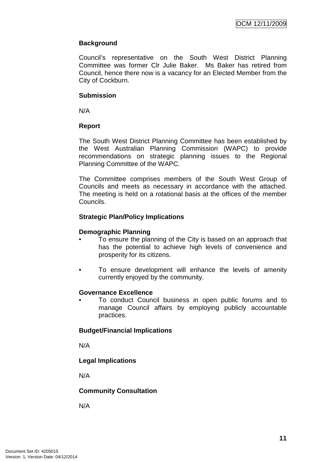### **Background**

Council's representative on the South West District Planning Committee was former Clr Julie Baker. Ms Baker has retired from Council, hence there now is a vacancy for an Elected Member from the City of Cockburn.

### **Submission**

N/A

### **Report**

The South West District Planning Committee has been established by the West Australian Planning Commission (WAPC) to provide recommendations on strategic planning issues to the Regional Planning Committee of the WAPC.

The Committee comprises members of the South West Group of Councils and meets as necessary in accordance with the attached. The meeting is held on a rotational basis at the offices of the member Councils.

### **Strategic Plan/Policy Implications**

#### **Demographic Planning**

- To ensure the planning of the City is based on an approach that has the potential to achieve high levels of convenience and prosperity for its citizens.
- To ensure development will enhance the levels of amenity currently enjoyed by the community.

#### **Governance Excellence**

• To conduct Council business in open public forums and to manage Council affairs by employing publicly accountable practices.

### **Budget/Financial Implications**

N/A

### **Legal Implications**

N/A

### **Community Consultation**

N/A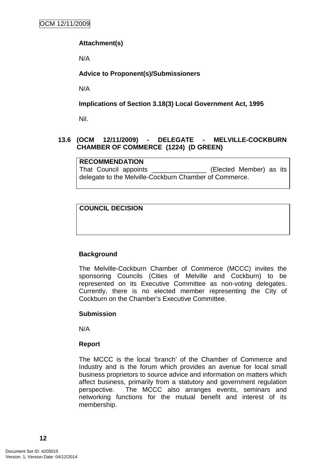### **Attachment(s)**

N/A

### **Advice to Proponent(s)/Submissioners**

N/A

### **Implications of Section 3.18(3) Local Government Act, 1995**

Nil.

### **13.6 (OCM 12/11/2009) - DELEGATE - MELVILLE-COCKBURN CHAMBER OF COMMERCE (1224) (D GREEN)**

**RECOMMENDATION** That Council appendix appendix and Council appendix and the Council appendix and the Council and the Council and the Council and the Council and the Council and the Council and the Council and the Council and the Council a delegate to the Melville-Cockburn Chamber of Commerce.

### **COUNCIL DECISION**

### **Background**

The Melville-Cockburn Chamber of Commerce (MCCC) invites the sponsoring Councils (Cities of Melville and Cockburn) to be represented on its Executive Committee as non-voting delegates. Currently, there is no elected member representing the City of Cockburn on the Chamber's Executive Committee.

#### **Submission**

N/A

#### **Report**

The MCCC is the local 'branch' of the Chamber of Commerce and Industry and is the forum which provides an avenue for local small business proprietors to source advice and information on matters which affect business, primarily from a statutory and government regulation perspective. The MCCC also arranges events, seminars and networking functions for the mutual benefit and interest of its membership.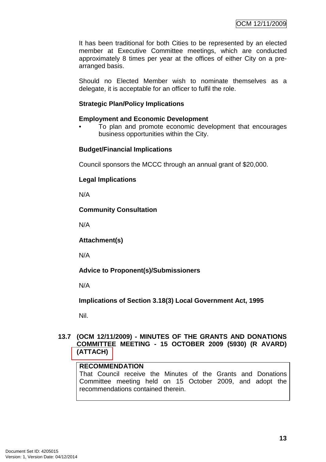It has been traditional for both Cities to be represented by an elected member at Executive Committee meetings, which are conducted approximately 8 times per year at the offices of either City on a prearranged basis.

Should no Elected Member wish to nominate themselves as a delegate, it is acceptable for an officer to fulfil the role.

### **Strategic Plan/Policy Implications**

#### **Employment and Economic Development**

• To plan and promote economic development that encourages business opportunities within the City.

### **Budget/Financial Implications**

Council sponsors the MCCC through an annual grant of \$20,000.

### **Legal Implications**

N/A

### **Community Consultation**

N/A

**Attachment(s)**

N/A

### **Advice to Proponent(s)/Submissioners**

N/A

**Implications of Section 3.18(3) Local Government Act, 1995**

Nil.

#### **13.7 (OCM 12/11/2009) - MINUTES OF THE GRANTS AND DONATIONS COMMITTEE MEETING - 15 OCTOBER 2009 (5930) (R AVARD) (ATTACH)**

### **RECOMMENDATION**

That Council receive the Minutes of the Grants and Donations Committee meeting held on 15 October 2009, and adopt the recommendations contained therein.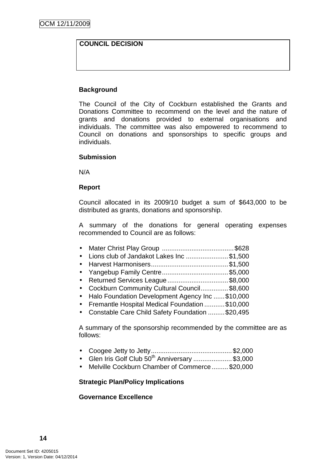### **COUNCIL DECISION**

#### **Background**

The Council of the City of Cockburn established the Grants and Donations Committee to recommend on the level and the nature of grants and donations provided to external organisations and individuals. The committee was also empowered to recommend to Council on donations and sponsorships to specific groups and individuals.

#### **Submission**

N/A

#### **Report**

Council allocated in its 2009/10 budget a sum of \$643,000 to be distributed as grants, donations and sponsorship.

A summary of the donations for general operating expenses recommended to Council are as follows:

| • Lions club of Jandakot Lakes Inc \$1,500                    |  |
|---------------------------------------------------------------|--|
|                                                               |  |
|                                                               |  |
| • Returned Services League \$8,000                            |  |
| $\bullet$ Cockburn Community Cultural Council $\bullet$ 8.600 |  |

- Cockburn Community Cultural Council...............\$8,600 • Halo Foundation Development Agency Inc ......\$10,000
- Fremantle Hospital Medical Foundation ...........\$10,000
- Constable Care Child Safety Foundation .........\$20,495

A summary of the sponsorship recommended by the committee are as follows:

- Coogee Jetty to Jetty............................................ \$2,000
- Glen Iris Golf Club  $50<sup>th</sup>$  Anniversary ......................\$3,000
- Melville Cockburn Chamber of Commerce......... \$20,000

#### **Strategic Plan/Policy Implications**

#### **Governance Excellence**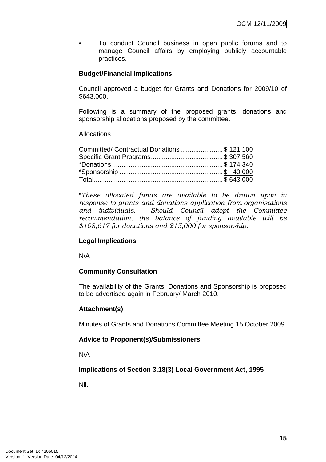• To conduct Council business in open public forums and to manage Council affairs by employing publicly accountable practices.

### **Budget/Financial Implications**

Council approved a budget for Grants and Donations for 2009/10 of \$643,000.

Following is a summary of the proposed grants, donations and sponsorship allocations proposed by the committee.

#### Allocations

| Committed/ Contractual Donations\$ 121,100 |  |
|--------------------------------------------|--|
|                                            |  |
|                                            |  |
|                                            |  |
|                                            |  |

\*These allocated funds are available to be drawn upon in response to grants and donations application from organisations and individuals. Should Council adopt the Committee recommendation, the balance of funding available will be \$108,617 for donations and \$15,000 for sponsorship.

#### **Legal Implications**

N/A

### **Community Consultation**

The availability of the Grants, Donations and Sponsorship is proposed to be advertised again in February/ March 2010.

#### **Attachment(s)**

Minutes of Grants and Donations Committee Meeting 15 October 2009.

#### **Advice to Proponent(s)/Submissioners**

N/A

**Implications of Section 3.18(3) Local Government Act, 1995**

Nil.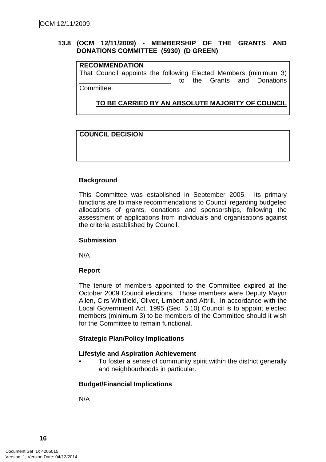### **13.8 (OCM 12/11/2009) - MEMBERSHIP OF THE GRANTS AND DONATIONS COMMITTEE (5930) (D GREEN)**

### **RECOMMENDATION**

That Council appoints the following Elected Members (minimum 3) to the Grants and Donations Committee.

**TO BE CARRIED BY AN ABSOLUTE MAJORITY OF COUNCIL**

### **COUNCIL DECISION**

### **Background**

This Committee was established in September 2005. Its primary functions are to make recommendations to Council regarding budgeted allocations of grants, donations and sponsorships, following the assessment of applications from individuals and organisations against the criteria established by Council.

#### **Submission**

N/A

#### **Report**

The tenure of members appointed to the Committee expired at the October 2009 Council elections. Those members were Deputy Mayor Allen, Clrs Whitfield, Oliver, Limbert and Attrill. In accordance with the Local Government Act, 1995 (Sec. 5.10) Council is to appoint elected members (minimum 3) to be members of the Committee should it wish for the Committee to remain functional.

#### **Strategic Plan/Policy Implications**

#### **Lifestyle and Aspiration Achievement**

• To foster a sense of community spirit within the district generally and neighbourhoods in particular.

#### **Budget/Financial Implications**

N/A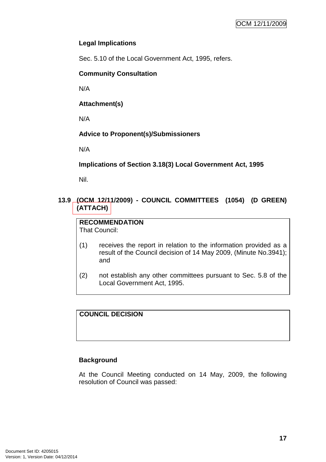### **Legal Implications**

Sec. 5.10 of the Local Government Act, 1995, refers.

### **Community Consultation**

N/A

**Attachment(s)**

N/A

### **Advice to Proponent(s)/Submissioners**

N/A

**Implications of Section 3.18(3) Local Government Act, 1995**

Nil.

### **13.9 (OCM 12/11/2009) - COUNCIL COMMITTEES (1054) (D GREEN) (ATTACH)**

**RECOMMENDATION** That Council:

- (1) receives the report in relation to the information provided as a result of the Council decision of 14 May 2009, (Minute No.3941); and
- (2) not establish any other committees pursuant to Sec. 5.8 of the Local Government Act, 1995.

### **COUNCIL DECISION**

### **Background**

At the Council Meeting conducted on 14 May, 2009, the following resolution of Council was passed: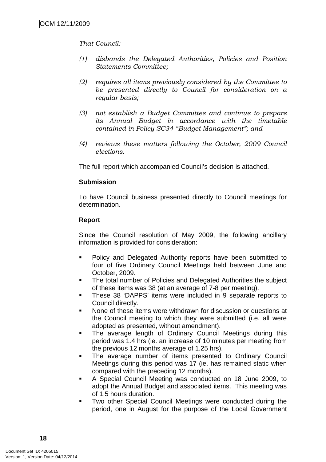That Council:

- (1) disbands the Delegated Authorities, Policies and Position Statements Committee;
- (2) requires all items previously considered by the Committee to be presented directly to Council for consideration on a regular basis;
- (3) not establish a Budget Committee and continue to prepare its Annual Budget in accordance with the timetable contained in Policy SC34 "Budget Management"; and
- (4) reviews these matters following the October, 2009 Council elections.

The full report which accompanied Council's decision is attached.

### **Submission**

To have Council business presented directly to Council meetings for determination.

### **Report**

Since the Council resolution of May 2009, the following ancillary information is provided for consideration:

- **Policy and Delegated Authority reports have been submitted to** four of five Ordinary Council Meetings held between June and October, 2009.
- The total number of Policies and Delegated Authorities the subject of these items was 38 (at an average of 7-8 per meeting).
- **These 38 'DAPPS' items were included in 9 separate reports to** Council directly.
- None of these items were withdrawn for discussion or questions at the Council meeting to which they were submitted (i.e. all were adopted as presented, without amendment).
- The average length of Ordinary Council Meetings during this period was 1.4 hrs (ie. an increase of 10 minutes per meeting from the previous 12 months average of 1.25 hrs).
- The average number of items presented to Ordinary Council Meetings during this period was 17 (ie. has remained static when compared with the preceding 12 months).
- A Special Council Meeting was conducted on 18 June 2009, to adopt the Annual Budget and associated items. This meeting was of 1.5 hours duration.
- Two other Special Council Meetings were conducted during the period, one in August for the purpose of the Local Government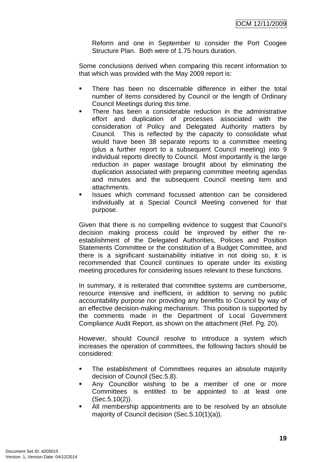Reform and one in September to consider the Port Coogee Structure Plan. Both were of 1.75 hours duration.

Some conclusions derived when comparing this recent information to that which was provided with the May 2009 report is:

- **There has been no discernable difference in either the total** number of items considered by Council or the length of Ordinary Council Meetings during this time.
- There has been a considerable reduction in the administrative effort and duplication of processes associated with the consideration of Policy and Delegated Authority matters by Council. This is reflected by the capacity to consolidate what would have been 38 separate reports to a committee meeting (plus a further report to a subsequent Council meeting) into 9 individual reports directly to Council. Most importantly is the large reduction in paper wastage brought about by eliminating the duplication associated with preparing committee meeting agendas and minutes and the subsequent Council meeting item and attachments.
- Issues which command focussed attention can be considered individually at a Special Council Meeting convened for that purpose.

Given that there is no compelling evidence to suggest that Council's decision making process could be improved by either the reestablishment of the Delegated Authorities, Policies and Position Statements Committee or the constitution of a Budget Committee, and there is a significant sustainability initiative in not doing so, it is recommended that Council continues to operate under its existing meeting procedures for considering issues relevant to these functions.

In summary, it is reiterated that committee systems are cumbersome, resource intensive and inefficient, in addition to serving no public accountability purpose nor providing any benefits to Council by way of an effective decision-making mechanism. This position is supported by the comments made in the Department of Local Government Compliance Audit Report, as shown on the attachment (Ref. Pg. 20).

However, should Council resolve to introduce a system which increases the operation of committees, the following factors should be considered:

- The establishment of Committees requires an absolute majority decision of Council (Sec.5.8).
- Any Councillor wishing to be a member of one or more Committees is entitled to be appointed to at least one (Sec.5.10(2)).
- All membership appointments are to be resolved by an absolute majority of Council decision (Sec.5.10(1)(a)).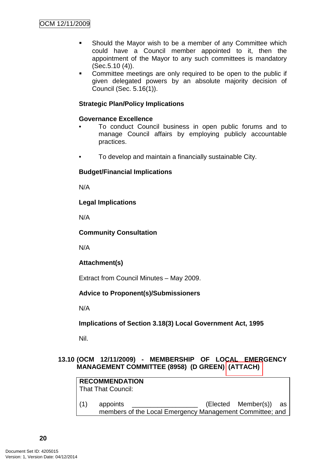- Should the Mayor wish to be a member of any Committee which could have a Council member appointed to it, then the appointment of the Mayor to any such committees is mandatory (Sec.5.10 (4)).
- **Committee meetings are only required to be open to the public if** given delegated powers by an absolute majority decision of Council (Sec. 5.16(1)).

### **Strategic Plan/Policy Implications**

### **Governance Excellence**

- To conduct Council business in open public forums and to manage Council affairs by employing publicly accountable practices.
- To develop and maintain a financially sustainable City.

### **Budget/Financial Implications**

N/A

### **Legal Implications**

N/A

### **Community Consultation**

N/A

### **Attachment(s)**

Extract from Council Minutes – May 2009.

### **Advice to Proponent(s)/Submissioners**

N/A

### **Implications of Section 3.18(3) Local Government Act, 1995**

Nil.

### **13.10 (OCM 12/11/2009) - MEMBERSHIP OF LOCAL EMERGENCY MANAGEMENT COMMITTEE (8958) (D GREEN) (ATTACH)**

|     | <b>RECOMMENDATION</b><br>That That Council: |                                                          |                        |  |
|-----|---------------------------------------------|----------------------------------------------------------|------------------------|--|
| (1) | appoints                                    | members of the Local Emergency Management Committee; and | (Elected Member(s)) as |  |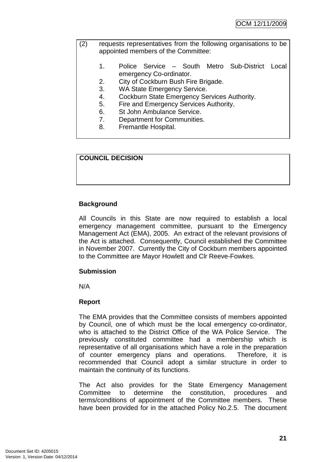- (2) requests representatives from the following organisations to be appointed members of the Committee:
	- 1. Police Service South Metro Sub-District Local emergency Co-ordinator.
	- 2. City of Cockburn Bush Fire Brigade.
	- 3. WA State Emergency Service.
	- 4. Cockburn State Emergency Services Authority.
	- 5. Fire and Emergency Services Authority.
	- 6. St John Ambulance Service.
	- 7. Department for Communities.
	- 8. Fremantle Hospital.

#### **COUNCIL DECISION**

### **Background**

All Councils in this State are now required to establish a local emergency management committee, pursuant to the Emergency Management Act (EMA), 2005. An extract of the relevant provisions of the Act is attached. Consequently, Council established the Committee in November 2007. Currently the City of Cockburn members appointed to the Committee are Mayor Howlett and Clr Reeve-Fowkes.

#### **Submission**

N/A

#### **Report**

The EMA provides that the Committee consists of members appointed by Council, one of which must be the local emergency co-ordinator, who is attached to the District Office of the WA Police Service. The previously constituted committee had a membership which is representative of all organisations which have a role in the preparation of counter emergency plans and operations. Therefore, it is recommended that Council adopt a similar structure in order to maintain the continuity of its functions.

The Act also provides for the State Emergency Management Committee to determine the constitution, procedures and terms/conditions of appointment of the Committee members. These have been provided for in the attached Policy No.2.5. The document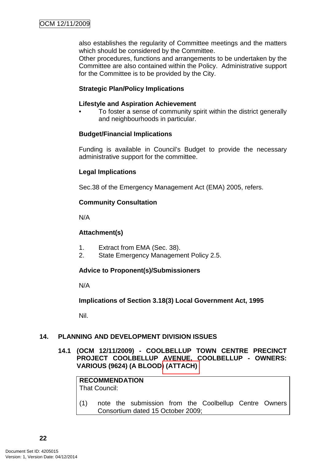also establishes the regularity of Committee meetings and the matters which should be considered by the Committee.

Other procedures, functions and arrangements to be undertaken by the Committee are also contained within the Policy. Administrative support for the Committee is to be provided by the City.

### **Strategic Plan/Policy Implications**

#### **Lifestyle and Aspiration Achievement**

To foster a sense of community spirit within the district generally and neighbourhoods in particular.

#### **Budget/Financial Implications**

Funding is available in Council's Budget to provide the necessary administrative support for the committee.

#### **Legal Implications**

Sec.38 of the Emergency Management Act (EMA) 2005, refers.

#### **Community Consultation**

N/A

#### **Attachment(s)**

- 1. Extract from EMA (Sec. 38).
- 2. State Emergency Management Policy 2.5.

#### **Advice to Proponent(s)/Submissioners**

N/A

**Implications of Section 3.18(3) Local Government Act, 1995**

Nil.

#### **14. PLANNING AND DEVELOPMENT DIVISION ISSUES**

### **14.1 (OCM 12/11/2009) - COOLBELLUP TOWN CENTRE PRECINCT PROJECT COOLBELLUP AVENUE, COOLBELLUP - OWNERS: VARIOUS (9624) (A BLOOD) (ATTACH)**

**RECOMMENDATION** That Council:

(1) note the submission from the Coolbellup Centre Owners Consortium dated 15 October 2009;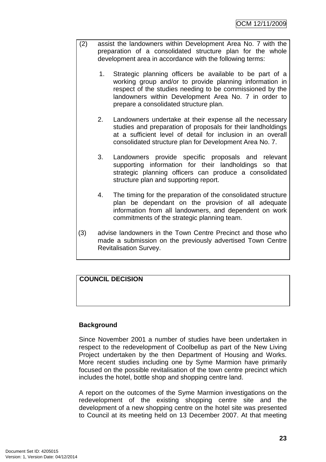- (2) assist the landowners within Development Area No. 7 with the preparation of a consolidated structure plan for the whole development area in accordance with the following terms:
	- 1. Strategic planning officers be available to be part of a working group and/or to provide planning information in respect of the studies needing to be commissioned by the landowners within Development Area No. 7 in order to prepare a consolidated structure plan.
	- 2. Landowners undertake at their expense all the necessary studies and preparation of proposals for their landholdings at a sufficient level of detail for inclusion in an overall consolidated structure plan for Development Area No. 7.
	- 3. Landowners provide specific proposals and relevant supporting information for their landholdings so that strategic planning officers can produce a consolidated structure plan and supporting report.
	- 4. The timing for the preparation of the consolidated structure plan be dependant on the provision of all adequate information from all landowners, and dependent on work commitments of the strategic planning team.
- (3) advise landowners in the Town Centre Precinct and those who made a submission on the previously advertised Town Centre Revitalisation Survey.

### **COUNCIL DECISION**

### **Background**

Since November 2001 a number of studies have been undertaken in respect to the redevelopment of Coolbellup as part of the New Living Project undertaken by the then Department of Housing and Works. More recent studies including one by Syme Marmion have primarily focused on the possible revitalisation of the town centre precinct which includes the hotel, bottle shop and shopping centre land.

A report on the outcomes of the Syme Marmion investigations on the redevelopment of the existing shopping centre site and the development of a new shopping centre on the hotel site was presented to Council at its meeting held on 13 December 2007. At that meeting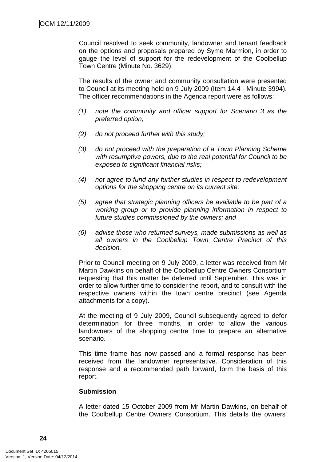Council resolved to seek community, landowner and tenant feedback on the options and proposals prepared by Syme Marmion, in order to gauge the level of support for the redevelopment of the Coolbellup Town Centre (Minute No. 3629).

The results of the owner and community consultation were presented to Council at its meeting held on 9 July 2009 (Item 14.4 - Minute 3994). The officer recommendations in the Agenda report were as follows:

- (1) note the community and officer support for Scenario 3 as the preferred option;
- (2) do not proceed further with this study;
- (3) do not proceed with the preparation of a Town Planning Scheme with resumptive powers, due to the real potential for Council to be exposed to significant financial risks;
- (4) not agree to fund any further studies in respect to redevelopment options for the shopping centre on its current site;
- (5) agree that strategic planning officers be available to be part of a working group or to provide planning information in respect to future studies commissioned by the owners; and
- (6) advise those who returned surveys, made submissions as well as all owners in the Coolbellup Town Centre Precinct of this decision.

Prior to Council meeting on 9 July 2009, a letter was received from Mr Martin Dawkins on behalf of the Coolbellup Centre Owners Consortium requesting that this matter be deferred until September. This was in order to allow further time to consider the report, and to consult with the respective owners within the town centre precinct (see Agenda attachments for a copy).

At the meeting of 9 July 2009, Council subsequently agreed to defer determination for three months, in order to allow the various landowners of the shopping centre time to prepare an alternative scenario.

This time frame has now passed and a formal response has been received from the landowner representative. Consideration of this response and a recommended path forward, form the basis of this report.

#### **Submission**

A letter dated 15 October 2009 from Mr Martin Dawkins, on behalf of the Coolbellup Centre Owners Consortium. This details the owners'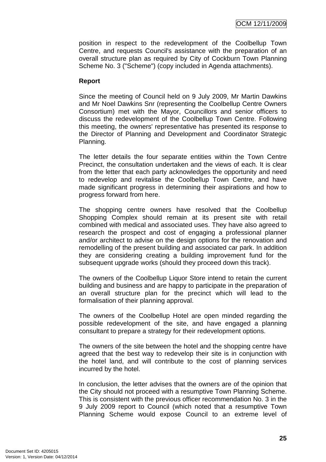position in respect to the redevelopment of the Coolbellup Town Centre, and requests Council's assistance with the preparation of an overall structure plan as required by City of Cockburn Town Planning Scheme No. 3 ("Scheme") (copy included in Agenda attachments).

### **Report**

Since the meeting of Council held on 9 July 2009, Mr Martin Dawkins and Mr Noel Dawkins Snr (representing the Coolbellup Centre Owners Consortium) met with the Mayor, Councillors and senior officers to discuss the redevelopment of the Coolbellup Town Centre. Following this meeting, the owners' representative has presented its response to the Director of Planning and Development and Coordinator Strategic Planning.

The letter details the four separate entities within the Town Centre Precinct, the consultation undertaken and the views of each. It is clear from the letter that each party acknowledges the opportunity and need to redevelop and revitalise the Coolbellup Town Centre, and have made significant progress in determining their aspirations and how to progress forward from here.

The shopping centre owners have resolved that the Coolbellup Shopping Complex should remain at its present site with retail combined with medical and associated uses. They have also agreed to research the prospect and cost of engaging a professional planner and/or architect to advise on the design options for the renovation and remodelling of the present building and associated car park. In addition they are considering creating a building improvement fund for the subsequent upgrade works (should they proceed down this track).

The owners of the Coolbellup Liquor Store intend to retain the current building and business and are happy to participate in the preparation of an overall structure plan for the precinct which will lead to the formalisation of their planning approval.

The owners of the Coolbellup Hotel are open minded regarding the possible redevelopment of the site, and have engaged a planning consultant to prepare a strategy for their redevelopment options.

The owners of the site between the hotel and the shopping centre have agreed that the best way to redevelop their site is in conjunction with the hotel land, and will contribute to the cost of planning services incurred by the hotel.

In conclusion, the letter advises that the owners are of the opinion that the City should not proceed with a resumptive Town Planning Scheme. This is consistent with the previous officer recommendation No. 3 in the 9 July 2009 report to Council (which noted that a resumptive Town Planning Scheme would expose Council to an extreme level of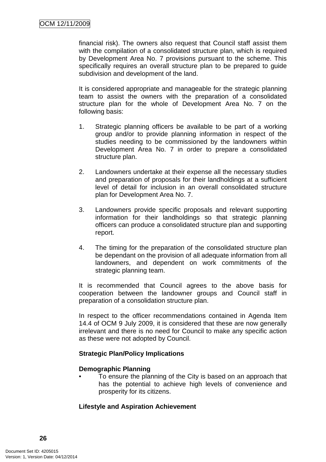financial risk). The owners also request that Council staff assist them with the compilation of a consolidated structure plan, which is required by Development Area No. 7 provisions pursuant to the scheme. This specifically requires an overall structure plan to be prepared to guide subdivision and development of the land.

It is considered appropriate and manageable for the strategic planning team to assist the owners with the preparation of a consolidated structure plan for the whole of Development Area No. 7 on the following basis:

- 1. Strategic planning officers be available to be part of a working group and/or to provide planning information in respect of the studies needing to be commissioned by the landowners within Development Area No. 7 in order to prepare a consolidated structure plan.
- 2. Landowners undertake at their expense all the necessary studies and preparation of proposals for their landholdings at a sufficient level of detail for inclusion in an overall consolidated structure plan for Development Area No. 7.
- 3. Landowners provide specific proposals and relevant supporting information for their landholdings so that strategic planning officers can produce a consolidated structure plan and supporting report.
- 4. The timing for the preparation of the consolidated structure plan be dependant on the provision of all adequate information from all landowners, and dependent on work commitments of the strategic planning team.

It is recommended that Council agrees to the above basis for cooperation between the landowner groups and Council staff in preparation of a consolidation structure plan.

In respect to the officer recommendations contained in Agenda Item 14.4 of OCM 9 July 2009, it is considered that these are now generally irrelevant and there is no need for Council to make any specific action as these were not adopted by Council.

### **Strategic Plan/Policy Implications**

#### **Demographic Planning**

• To ensure the planning of the City is based on an approach that has the potential to achieve high levels of convenience and prosperity for its citizens.

### **Lifestyle and Aspiration Achievement**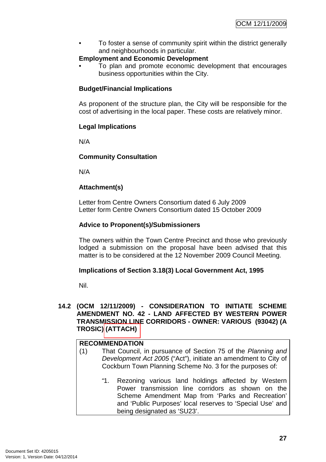• To foster a sense of community spirit within the district generally and neighbourhoods in particular.

### **Employment and Economic Development**

• To plan and promote economic development that encourages business opportunities within the City.

### **Budget/Financial Implications**

As proponent of the structure plan, the City will be responsible for the cost of advertising in the local paper. These costs are relatively minor.

### **Legal Implications**

N/A

### **Community Consultation**

N/A

### **Attachment(s)**

Letter from Centre Owners Consortium dated 6 July 2009 Letter form Centre Owners Consortium dated 15 October 2009

### **Advice to Proponent(s)/Submissioners**

The owners within the Town Centre Precinct and those who previously lodged a submission on the proposal have been advised that this matter is to be considered at the 12 November 2009 Council Meeting.

### **Implications of Section 3.18(3) Local Government Act, 1995**

Nil.

#### **14.2 (OCM 12/11/2009) - CONSIDERATION TO INITIATE SCHEME AMENDMENT NO. 42 - LAND AFFECTED BY WESTERN POWER TRANSMISSION LINE CORRIDORS - OWNER: VARIOUS (93042) (A TROSIC) (ATTACH)**

### **RECOMMENDATION**

- (1) That Council, in pursuance of Section 75 of the Planning and Development Act 2005 ("Act"), initiate an amendment to City of Cockburn Town Planning Scheme No. 3 for the purposes of:
	- "1. Rezoning various land holdings affected by Western Power transmission line corridors as shown on the Scheme Amendment Map from 'Parks and Recreation' and 'Public Purposes' local reserves to 'Special Use' and being designated as 'SU23'.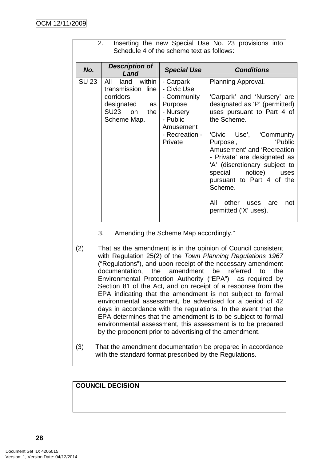| 2.<br>Inserting the new Special Use No. 23 provisions into<br>Schedule 4 of the scheme text as follows: |                                                                                                             |                                                                                                                       |                                                                                                                                                                                                                                                                                                                                                                                                                                                                                                                                                                                                                                              |  |  |  |
|---------------------------------------------------------------------------------------------------------|-------------------------------------------------------------------------------------------------------------|-----------------------------------------------------------------------------------------------------------------------|----------------------------------------------------------------------------------------------------------------------------------------------------------------------------------------------------------------------------------------------------------------------------------------------------------------------------------------------------------------------------------------------------------------------------------------------------------------------------------------------------------------------------------------------------------------------------------------------------------------------------------------------|--|--|--|
| No.                                                                                                     | <b>Description of</b><br>Land                                                                               | <b>Special Use</b>                                                                                                    | <b>Conditions</b>                                                                                                                                                                                                                                                                                                                                                                                                                                                                                                                                                                                                                            |  |  |  |
| <b>SU 23</b>                                                                                            | within<br>All<br>land<br>transmission line<br>corridors<br>$designated$ as<br>SU23 on<br>the<br>Scheme Map. | - Carpark<br>- Civic Use<br>- Community<br>Purpose<br>- Nursery<br>- Public<br>Amusement<br>- Recreation -<br>Private | Planning Approval.<br>'Carpark' and 'Nursery'<br>are<br>designated as 'P' (permitted)<br>uses pursuant to Part 4 of<br>the Scheme.<br>'Civic Use', 'Community<br>'Public<br>Purpose', and the property of the property of the property of the property of the property of the property of the property of the property of the property of the property of the property of the property of the property of<br>Amusement' and 'Recreation<br>- Private' are designated   as<br>'A' (discretionary subject to<br>special<br>notice) uses<br>pursuant to Part 4 of the<br>Scheme.<br>All<br>other<br>not<br>uses<br>are<br>permitted ('X' uses). |  |  |  |

- 3. Amending the Scheme Map accordingly."
- (2) That as the amendment is in the opinion of Council consistent with Regulation 25(2) of the Town Planning Regulations 1967 ("Regulations"), and upon receipt of the necessary amendment documentation, the amendment be referred to the Environmental Protection Authority ("EPA") as required by Section 81 of the Act, and on receipt of a response from the EPA indicating that the amendment is not subject to formal environmental assessment, be advertised for a period of 42 days in accordance with the regulations. In the event that the EPA determines that the amendment is to be subject to formal environmental assessment, this assessment is to be prepared by the proponent prior to advertising of the amendment.
- (3) That the amendment documentation be prepared in accordance with the standard format prescribed by the Regulations.

**COUNCIL DECISION**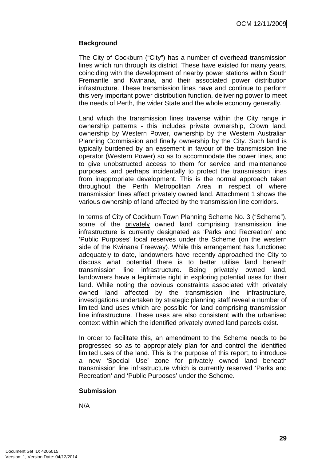### **Background**

The City of Cockburn ("City") has a number of overhead transmission lines which run through its district. These have existed for many years, coinciding with the development of nearby power stations within South Fremantle and Kwinana, and their associated power distribution infrastructure. These transmission lines have and continue to perform this very important power distribution function, delivering power to meet the needs of Perth, the wider State and the whole economy generally.

Land which the transmission lines traverse within the City range in ownership patterns - this includes private ownership, Crown land, ownership by Western Power, ownership by the Western Australian Planning Commission and finally ownership by the City. Such land is typically burdened by an easement in favour of the transmission line operator (Western Power) so as to accommodate the power lines, and to give unobstructed access to them for service and maintenance purposes, and perhaps incidentally to protect the transmission lines from inappropriate development. This is the normal approach taken throughout the Perth Metropolitan Area in respect of where transmission lines affect privately owned land. Attachment 1 shows the various ownership of land affected by the transmission line corridors.

In terms of City of Cockburn Town Planning Scheme No. 3 ("Scheme"), some of the privately owned land comprising transmission line infrastructure is currently designated as 'Parks and Recreation' and 'Public Purposes' local reserves under the Scheme (on the western side of the Kwinana Freeway). While this arrangement has functioned adequately to date, landowners have recently approached the City to discuss what potential there is to better utilise land beneath transmission line infrastructure. Being privately owned land, landowners have a legitimate right in exploring potential uses for their land. While noting the obvious constraints associated with privately owned land affected by the transmission line infrastructure, investigations undertaken by strategic planning staff reveal a number of limited land uses which are possible for land comprising transmission line infrastructure. These uses are also consistent with the urbanised context within which the identified privately owned land parcels exist.

In order to facilitate this, an amendment to the Scheme needs to be progressed so as to appropriately plan for and control the identified limited uses of the land. This is the purpose of this report, to introduce a new 'Special Use' zone for privately owned land beneath transmission line infrastructure which is currently reserved 'Parks and Recreation' and 'Public Purposes' under the Scheme.

### **Submission**

N/A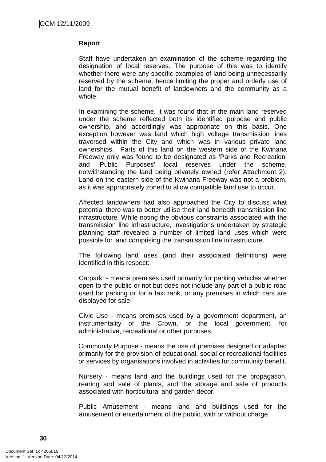#### **Report**

Staff have undertaken an examination of the scheme regarding the designation of local reserves. The purpose of this was to identify whether there were any specific examples of land being unnecessarily reserved by the scheme, hence limiting the proper and orderly use of land for the mutual benefit of landowners and the community as a whole.

In examining the scheme, it was found that in the main land reserved under the scheme reflected both its identified purpose and public ownership, and accordingly was appropriate on this basis. One exception however was land which high voltage transmission lines traversed within the City and which was in various private land ownerships. Parts of this land on the western side of the Kwinana Freeway only was found to be designated as 'Parks and Recreation' and 'Public Purposes' local reserves under the scheme, notwithstanding the land being privately owned (refer Attachment 2). Land on the eastern side of the Kwinana Freeway was not a problem, as it was appropriately zoned to allow compatible land use to occur.

Affected landowners had also approached the City to discuss what potential there was to better utilise their land beneath transmission line infrastructure. While noting the obvious constraints associated with the transmission line infrastructure, investigations undertaken by strategic planning staff revealed a number of limited land uses which were possible for land comprising the transmission line infrastructure.

The following land uses (and their associated definitions) were identified in this respect:

Carpark: - means premises used primarily for parking vehicles whether open to the public or not but does not include any part of a public road used for parking or for a taxi rank, or any premises in which cars are displayed for sale.

Civic Use - means premises used by a government department, an instrumentality of the Crown, or the local government, for administrative, recreational or other purposes.

Community Purpose - means the use of premises designed or adapted primarily for the provision of educational, social or recreational facilities or services by organisations involved in activities for community benefit.

Nursery - means land and the buildings used for the propagation, rearing and sale of plants, and the storage and sale of products associated with horticultural and garden décor.

Public Amusement - means land and buildings used for the amusement or entertainment of the public, with or without charge.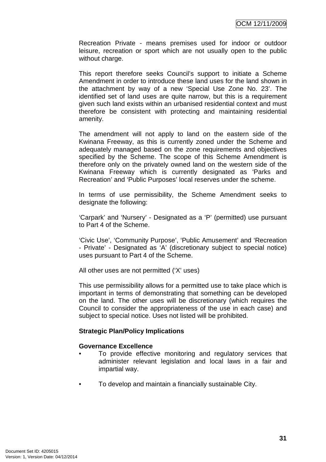Recreation Private - means premises used for indoor or outdoor leisure, recreation or sport which are not usually open to the public without charge.

This report therefore seeks Council's support to initiate a Scheme Amendment in order to introduce these land uses for the land shown in the attachment by way of a new 'Special Use Zone No. 23'. The identified set of land uses are quite narrow, but this is a requirement given such land exists within an urbanised residential context and must therefore be consistent with protecting and maintaining residential amenity.

The amendment will not apply to land on the eastern side of the Kwinana Freeway, as this is currently zoned under the Scheme and adequately managed based on the zone requirements and objectives specified by the Scheme. The scope of this Scheme Amendment is therefore only on the privately owned land on the western side of the Kwinana Freeway which is currently designated as 'Parks and Recreation' and 'Public Purposes' local reserves under the scheme.

In terms of use permissibility, the Scheme Amendment seeks to designate the following:

'Carpark' and 'Nursery' - Designated as a 'P' (permitted) use pursuant to Part 4 of the Scheme.

'Civic Use', 'Community Purpose', 'Public Amusement' and 'Recreation - Private' - Designated as 'A' (discretionary subject to special notice) uses pursuant to Part 4 of the Scheme.

All other uses are not permitted ('X' uses)

This use permissibility allows for a permitted use to take place which is important in terms of demonstrating that something can be developed on the land. The other uses will be discretionary (which requires the Council to consider the appropriateness of the use in each case) and subject to special notice. Uses not listed will be prohibited.

#### **Strategic Plan/Policy Implications**

#### **Governance Excellence**

- To provide effective monitoring and regulatory services that administer relevant legislation and local laws in a fair and impartial way.
- To develop and maintain a financially sustainable City.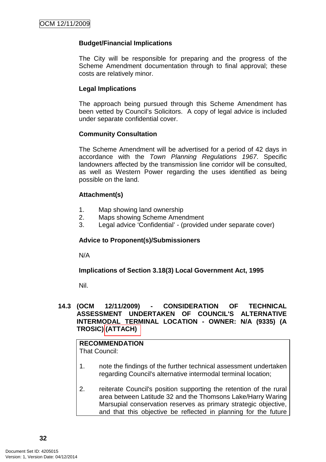### **Budget/Financial Implications**

The City will be responsible for preparing and the progress of the Scheme Amendment documentation through to final approval; these costs are relatively minor.

#### **Legal Implications**

The approach being pursued through this Scheme Amendment has been vetted by Council's Solicitors. A copy of legal advice is included under separate confidential cover.

#### **Community Consultation**

The Scheme Amendment will be advertised for a period of 42 days in accordance with the Town Planning Regulations 1967. Specific landowners affected by the transmission line corridor will be consulted, as well as Western Power regarding the uses identified as being possible on the land.

### **Attachment(s)**

- 1. Map showing land ownership
- 2. Maps showing Scheme Amendment
- 3. Legal advice 'Confidential' (provided under separate cover)

#### **Advice to Proponent(s)/Submissioners**

N/A

**Implications of Section 3.18(3) Local Government Act, 1995**

Nil.

#### **14.3 (OCM 12/11/2009) - CONSIDERATION OF TECHNICAL ASSESSMENT UNDERTAKEN OF COUNCIL'S ALTERNATIVE INTERMODAL TERMINAL LOCATION - OWNER: N/A (9335) (A TROSIC) (ATTACH)**

## **RECOMMENDATION**

That Council:

- 1. note the findings of the further technical assessment undertaken regarding Council's alternative intermodal terminal location;
- 2. reiterate Council's position supporting the retention of the rural area between Latitude 32 and the Thomsons Lake/Harry Waring Marsupial conservation reserves as primary strategic objective, and that this objective be reflected in planning for the future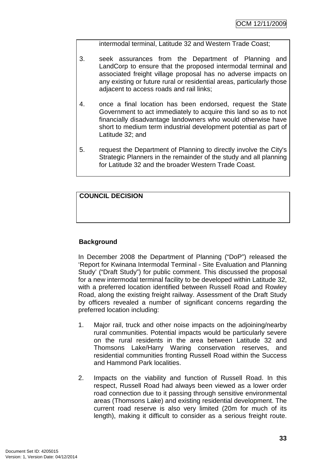intermodal terminal, Latitude 32 and Western Trade Coast;

- 3. seek assurances from the Department of Planning and LandCorp to ensure that the proposed intermodal terminal and associated freight village proposal has no adverse impacts on any existing or future rural or residential areas, particularly those adjacent to access roads and rail links;
- 4. once a final location has been endorsed, request the State Government to act immediately to acquire this land so as to not financially disadvantage landowners who would otherwise have short to medium term industrial development potential as part of Latitude 32; and
- 5. request the Department of Planning to directly involve the City's Strategic Planners in the remainder of the study and all planning for Latitude 32 and the broader Western Trade Coast.

**COUNCIL DECISION** 

# **Background**

In December 2008 the Department of Planning ("DoP") released the 'Report for Kwinana Intermodal Terminal - Site Evaluation and Planning Study' ("Draft Study") for public comment. This discussed the proposal for a new intermodal terminal facility to be developed within Latitude 32, with a preferred location identified between Russell Road and Rowley Road, along the existing freight railway. Assessment of the Draft Study by officers revealed a number of significant concerns regarding the preferred location including:

- 1. Major rail, truck and other noise impacts on the adjoining/nearby rural communities. Potential impacts would be particularly severe on the rural residents in the area between Latitude 32 and Thomsons Lake/Harry Waring conservation reserves, and residential communities fronting Russell Road within the Success and Hammond Park localities.
- 2. Impacts on the viability and function of Russell Road. In this respect, Russell Road had always been viewed as a lower order road connection due to it passing through sensitive environmental areas (Thomsons Lake) and existing residential development. The current road reserve is also very limited (20m for much of its length), making it difficult to consider as a serious freight route.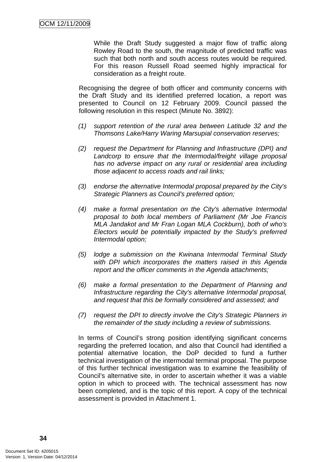While the Draft Study suggested a major flow of traffic along Rowley Road to the south, the magnitude of predicted traffic was such that both north and south access routes would be required. For this reason Russell Road seemed highly impractical for consideration as a freight route.

Recognising the degree of both officer and community concerns with the Draft Study and its identified preferred location, a report was presented to Council on 12 February 2009. Council passed the following resolution in this respect (Minute No. 3892):

- (1) support retention of the rural area between Latitude 32 and the Thomsons Lake/Harry Waring Marsupial conservation reserves;
- (2) request the Department for Planning and Infrastructure (DPI) and Landcorp to ensure that the Intermodal/freight village proposal has no adverse impact on any rural or residential area including those adjacent to access roads and rail links;
- (3) endorse the alternative Intermodal proposal prepared by the City's Strategic Planners as Council's preferred option;
- (4) make a formal presentation on the City's alternative Intermodal proposal to both local members of Parliament (Mr Joe Francis MLA Jandakot and Mr Fran Logan MLA Cockburn), both of who's Electors would be potentially impacted by the Study's preferred Intermodal option;
- (5) lodge a submission on the Kwinana Intermodal Terminal Study with DPI which incorporates the matters raised in this Agenda report and the officer comments in the Agenda attachments;
- (6) make a formal presentation to the Department of Planning and Infrastructure regarding the City's alternative Intermodal proposal, and request that this be formally considered and assessed; and
- (7) request the DPI to directly involve the City's Strategic Planners in the remainder of the study including a review of submissions.

In terms of Council's strong position identifying significant concerns regarding the preferred location, and also that Council had identified a potential alternative location, the DoP decided to fund a further technical investigation of the intermodal terminal proposal. The purpose of this further technical investigation was to examine the feasibility of Council's alternative site, in order to ascertain whether it was a viable option in which to proceed with. The technical assessment has now been completed, and is the topic of this report. A copy of the technical assessment is provided in Attachment 1.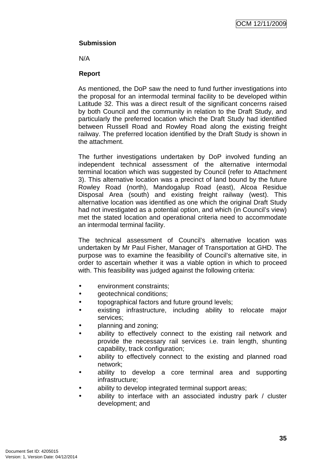OCM 12/11/2009

# **Submission**

N/A

# **Report**

As mentioned, the DoP saw the need to fund further investigations into the proposal for an intermodal terminal facility to be developed within Latitude 32. This was a direct result of the significant concerns raised by both Council and the community in relation to the Draft Study, and particularly the preferred location which the Draft Study had identified between Russell Road and Rowley Road along the existing freight railway. The preferred location identified by the Draft Study is shown in the attachment.

The further investigations undertaken by DoP involved funding an independent technical assessment of the alternative intermodal terminal location which was suggested by Council (refer to Attachment 3). This alternative location was a precinct of land bound by the future Rowley Road (north), Mandogalup Road (east), Alcoa Residue Disposal Area (south) and existing freight railway (west). This alternative location was identified as one which the original Draft Study had not investigated as a potential option, and which (in Council's view) met the stated location and operational criteria need to accommodate an intermodal terminal facility.

The technical assessment of Council's alternative location was undertaken by Mr Paul Fisher, Manager of Transportation at GHD. The purpose was to examine the feasibility of Council's alternative site, in order to ascertain whether it was a viable option in which to proceed with. This feasibility was judged against the following criteria:

- environment constraints:
- geotechnical conditions;
- topographical factors and future ground levels;
- existing infrastructure, including ability to relocate major services;
- planning and zoning;
- ability to effectively connect to the existing rail network and provide the necessary rail services i.e. train length, shunting capability, track configuration;
- ability to effectively connect to the existing and planned road network;
- ability to develop a core terminal area and supporting infrastructure;
- ability to develop integrated terminal support areas;
- ability to interface with an associated industry park / cluster development; and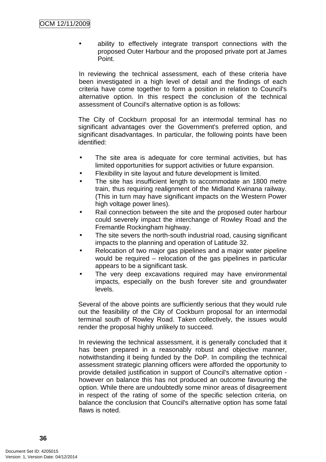ability to effectively integrate transport connections with the proposed Outer Harbour and the proposed private port at James Point.

In reviewing the technical assessment, each of these criteria have been investigated in a high level of detail and the findings of each criteria have come together to form a position in relation to Council's alternative option. In this respect the conclusion of the technical assessment of Council's alternative option is as follows:

The City of Cockburn proposal for an intermodal terminal has no significant advantages over the Government's preferred option, and significant disadvantages. In particular, the following points have been identified:

- The site area is adequate for core terminal activities, but has limited opportunities for support activities or future expansion.
- Flexibility in site layout and future development is limited.
- The site has insufficient length to accommodate an 1800 metre train, thus requiring realignment of the Midland Kwinana railway. (This in turn may have significant impacts on the Western Power high voltage power lines).
- Rail connection between the site and the proposed outer harbour could severely impact the interchange of Rowley Road and the Fremantle Rockingham highway.
- The site severs the north-south industrial road, causing significant impacts to the planning and operation of Latitude 32.
- Relocation of two major gas pipelines and a major water pipeline would be required – relocation of the gas pipelines in particular appears to be a significant task.
- The very deep excavations required may have environmental impacts, especially on the bush forever site and groundwater levels.

Several of the above points are sufficiently serious that they would rule out the feasibility of the City of Cockburn proposal for an intermodal terminal south of Rowley Road. Taken collectively, the issues would render the proposal highly unlikely to succeed.

In reviewing the technical assessment, it is generally concluded that it has been prepared in a reasonably robust and objective manner, notwithstanding it being funded by the DoP. In compiling the technical assessment strategic planning officers were afforded the opportunity to provide detailed justification in support of Council's alternative option however on balance this has not produced an outcome favouring the option. While there are undoubtedly some minor areas of disagreement in respect of the rating of some of the specific selection criteria, on balance the conclusion that Council's alternative option has some fatal flaws is noted.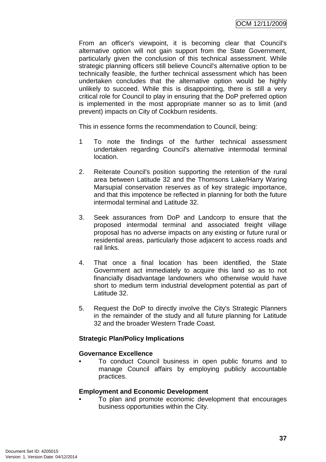From an officer's viewpoint, it is becoming clear that Council's alternative option will not gain support from the State Government, particularly given the conclusion of this technical assessment. While strategic planning officers still believe Council's alternative option to be technically feasible, the further technical assessment which has been undertaken concludes that the alternative option would be highly unlikely to succeed. While this is disappointing, there is still a very critical role for Council to play in ensuring that the DoP preferred option is implemented in the most appropriate manner so as to limit (and prevent) impacts on City of Cockburn residents.

This in essence forms the recommendation to Council, being:

- 1 To note the findings of the further technical assessment undertaken regarding Council's alternative intermodal terminal location.
- 2. Reiterate Council's position supporting the retention of the rural area between Latitude 32 and the Thomsons Lake/Harry Waring Marsupial conservation reserves as of key strategic importance, and that this impotence be reflected in planning for both the future intermodal terminal and Latitude 32.
- 3. Seek assurances from DoP and Landcorp to ensure that the proposed intermodal terminal and associated freight village proposal has no adverse impacts on any existing or future rural or residential areas, particularly those adjacent to access roads and rail links.
- 4. That once a final location has been identified, the State Government act immediately to acquire this land so as to not financially disadvantage landowners who otherwise would have short to medium term industrial development potential as part of Latitude 32.
- 5. Request the DoP to directly involve the City's Strategic Planners in the remainder of the study and all future planning for Latitude 32 and the broader Western Trade Coast.

# **Strategic Plan/Policy Implications**

# **Governance Excellence**

• To conduct Council business in open public forums and to manage Council affairs by employing publicly accountable practices.

# **Employment and Economic Development**

• To plan and promote economic development that encourages business opportunities within the City.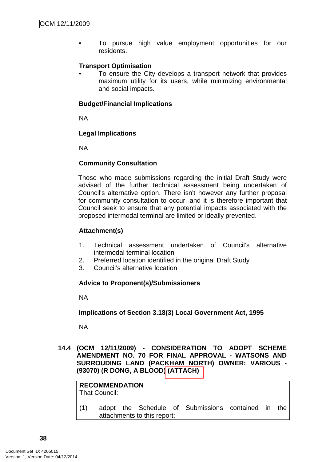• To pursue high value employment opportunities for our residents.

# **Transport Optimisation**

To ensure the City develops a transport network that provides maximum utility for its users, while minimizing environmental and social impacts.

# **Budget/Financial Implications**

NA

# **Legal Implications**

NA

# **Community Consultation**

Those who made submissions regarding the initial Draft Study were advised of the further technical assessment being undertaken of Council's alternative option. There isn't however any further proposal for community consultation to occur, and it is therefore important that Council seek to ensure that any potential impacts associated with the proposed intermodal terminal are limited or ideally prevented.

# **Attachment(s)**

- 1. Technical assessment undertaken of Council's alternative intermodal terminal location
- 2. Preferred location identified in the original Draft Study
- 3. Council's alternative location

### **Advice to Proponent(s)/Submissioners**

attachments to this report;

NA

# **Implications of Section 3.18(3) Local Government Act, 1995**

NA

**14.4 (OCM 12/11/2009) - CONSIDERATION TO ADOPT SCHEME AMENDMENT NO. 70 FOR FINAL APPROVAL - WATSONS AND SURROUDING LAND (PACKHAM NORTH) OWNER: VARIOUS - (93070) (R DONG, A BLOOD) (ATTACH)** 

**RECOMMENDATION** That Council: (1) adopt the Schedule of Submissions contained in the

**38**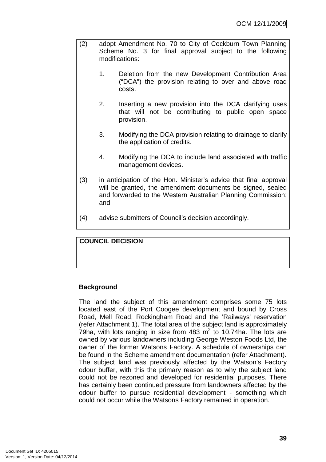- (2) adopt Amendment No. 70 to City of Cockburn Town Planning Scheme No. 3 for final approval subject to the following modifications:
	- 1. Deletion from the new Development Contribution Area ("DCA") the provision relating to over and above road costs.
	- 2. Inserting a new provision into the DCA clarifying uses that will not be contributing to public open space provision.
	- 3. Modifying the DCA provision relating to drainage to clarify the application of credits.
	- 4. Modifying the DCA to include land associated with traffic management devices.
- (3) in anticipation of the Hon. Minister's advice that final approval will be granted, the amendment documents be signed, sealed and forwarded to the Western Australian Planning Commission; and
- (4) advise submitters of Council's decision accordingly.

**COUNCIL DECISION** 

# **Background**

The land the subject of this amendment comprises some 75 lots located east of the Port Coogee development and bound by Cross Road, Mell Road, Rockingham Road and the 'Railways' reservation (refer Attachment 1). The total area of the subject land is approximately 79ha, with lots ranging in size from 483  $m^2$  to 10.74ha. The lots are owned by various landowners including George Weston Foods Ltd, the owner of the former Watsons Factory. A schedule of ownerships can be found in the Scheme amendment documentation (refer Attachment). The subject land was previously affected by the Watson's Factory odour buffer, with this the primary reason as to why the subject land could not be rezoned and developed for residential purposes. There has certainly been continued pressure from landowners affected by the odour buffer to pursue residential development - something which could not occur while the Watsons Factory remained in operation.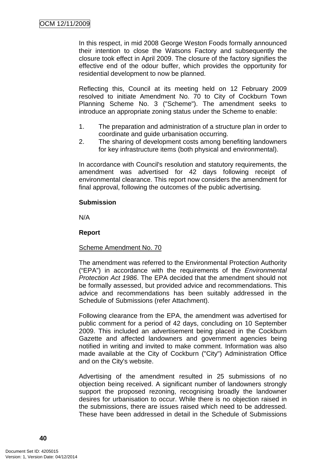In this respect, in mid 2008 George Weston Foods formally announced their intention to close the Watsons Factory and subsequently the closure took effect in April 2009. The closure of the factory signifies the effective end of the odour buffer, which provides the opportunity for residential development to now be planned.

Reflecting this, Council at its meeting held on 12 February 2009 resolved to initiate Amendment No. 70 to City of Cockburn Town Planning Scheme No. 3 ("Scheme"). The amendment seeks to introduce an appropriate zoning status under the Scheme to enable:

- 1. The preparation and administration of a structure plan in order to coordinate and guide urbanisation occurring.
- 2. The sharing of development costs among benefiting landowners for key infrastructure items (both physical and environmental).

In accordance with Council's resolution and statutory requirements, the amendment was advertised for 42 days following receipt of environmental clearance. This report now considers the amendment for final approval, following the outcomes of the public advertising.

# **Submission**

N/A

# **Report**

### Scheme Amendment No. 70

The amendment was referred to the Environmental Protection Authority ("EPA") in accordance with the requirements of the Environmental Protection Act 1986. The EPA decided that the amendment should not be formally assessed, but provided advice and recommendations. This advice and recommendations has been suitably addressed in the Schedule of Submissions (refer Attachment).

Following clearance from the EPA, the amendment was advertised for public comment for a period of 42 days, concluding on 10 September 2009. This included an advertisement being placed in the Cockburn Gazette and affected landowners and government agencies being notified in writing and invited to make comment. Information was also made available at the City of Cockburn ("City") Administration Office and on the City's website.

Advertising of the amendment resulted in 25 submissions of no objection being received. A significant number of landowners strongly support the proposed rezoning, recognising broadly the landowner desires for urbanisation to occur. While there is no objection raised in the submissions, there are issues raised which need to be addressed. These have been addressed in detail in the Schedule of Submissions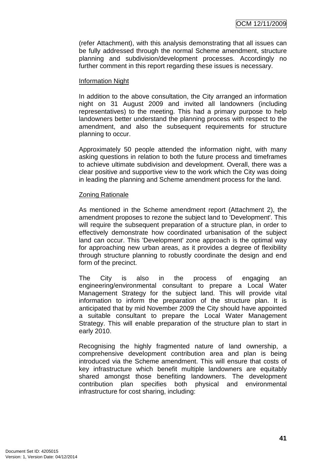(refer Attachment), with this analysis demonstrating that all issues can be fully addressed through the normal Scheme amendment, structure planning and subdivision/development processes. Accordingly no further comment in this report regarding these issues is necessary.

### Information Night

In addition to the above consultation, the City arranged an information night on 31 August 2009 and invited all landowners (including representatives) to the meeting. This had a primary purpose to help landowners better understand the planning process with respect to the amendment, and also the subsequent requirements for structure planning to occur.

Approximately 50 people attended the information night, with many asking questions in relation to both the future process and timeframes to achieve ultimate subdivision and development. Overall, there was a clear positive and supportive view to the work which the City was doing in leading the planning and Scheme amendment process for the land.

#### Zoning Rationale

As mentioned in the Scheme amendment report (Attachment 2), the amendment proposes to rezone the subject land to 'Development'. This will require the subsequent preparation of a structure plan, in order to effectively demonstrate how coordinated urbanisation of the subject land can occur. This 'Development' zone approach is the optimal way for approaching new urban areas, as it provides a degree of flexibility through structure planning to robustly coordinate the design and end form of the precinct.

The City is also in the process of engaging an engineering/environmental consultant to prepare a Local Water Management Strategy for the subject land. This will provide vital information to inform the preparation of the structure plan. It is anticipated that by mid November 2009 the City should have appointed a suitable consultant to prepare the Local Water Management Strategy. This will enable preparation of the structure plan to start in early 2010.

Recognising the highly fragmented nature of land ownership, a comprehensive development contribution area and plan is being introduced via the Scheme amendment. This will ensure that costs of key infrastructure which benefit multiple landowners are equitably shared amongst those benefiting landowners. The development contribution plan specifies both physical and environmental infrastructure for cost sharing, including: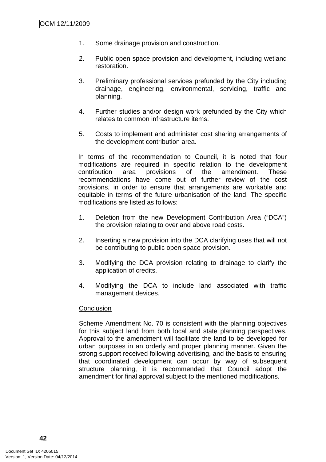- 1. Some drainage provision and construction.
- 2. Public open space provision and development, including wetland restoration.
- 3. Preliminary professional services prefunded by the City including drainage, engineering, environmental, servicing, traffic and planning.
- 4. Further studies and/or design work prefunded by the City which relates to common infrastructure items.
- 5. Costs to implement and administer cost sharing arrangements of the development contribution area.

In terms of the recommendation to Council, it is noted that four modifications are required in specific relation to the development contribution area provisions of the amendment. These recommendations have come out of further review of the cost provisions, in order to ensure that arrangements are workable and equitable in terms of the future urbanisation of the land. The specific modifications are listed as follows:

- 1. Deletion from the new Development Contribution Area ("DCA") the provision relating to over and above road costs.
- 2. Inserting a new provision into the DCA clarifying uses that will not be contributing to public open space provision.
- 3. Modifying the DCA provision relating to drainage to clarify the application of credits.
- 4. Modifying the DCA to include land associated with traffic management devices.

### **Conclusion**

Scheme Amendment No. 70 is consistent with the planning objectives for this subject land from both local and state planning perspectives. Approval to the amendment will facilitate the land to be developed for urban purposes in an orderly and proper planning manner. Given the strong support received following advertising, and the basis to ensuring that coordinated development can occur by way of subsequent structure planning, it is recommended that Council adopt the amendment for final approval subject to the mentioned modifications.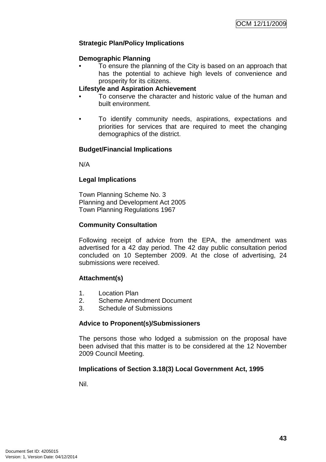# **Strategic Plan/Policy Implications**

### **Demographic Planning**

• To ensure the planning of the City is based on an approach that has the potential to achieve high levels of convenience and prosperity for its citizens.

### **Lifestyle and Aspiration Achievement**

- To conserve the character and historic value of the human and built environment.
- To identify community needs, aspirations, expectations and priorities for services that are required to meet the changing demographics of the district.

### **Budget/Financial Implications**

N/A

### **Legal Implications**

Town Planning Scheme No. 3 Planning and Development Act 2005 Town Planning Regulations 1967

### **Community Consultation**

Following receipt of advice from the EPA, the amendment was advertised for a 42 day period. The 42 day public consultation period concluded on 10 September 2009. At the close of advertising, 24 submissions were received.

### **Attachment(s)**

- 1. Location Plan
- 2. Scheme Amendment Document
- 3. Schedule of Submissions

### **Advice to Proponent(s)/Submissioners**

The persons those who lodged a submission on the proposal have been advised that this matter is to be considered at the 12 November 2009 Council Meeting.

### **Implications of Section 3.18(3) Local Government Act, 1995**

Nil.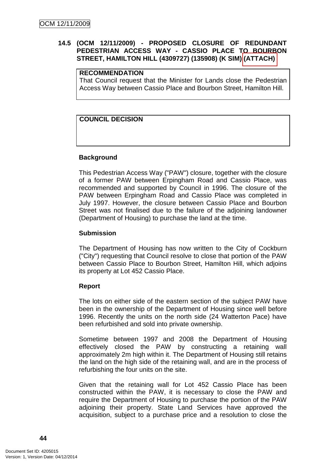# **14.5 (OCM 12/11/2009) - PROPOSED CLOSURE OF REDUNDANT PEDESTRIAN ACCESS WAY - CASSIO PLACE TO BOURBON STREET, HAMILTON HILL (4309727) (135908) (K SIM) (ATTACH)**

### **RECOMMENDATION**

That Council request that the Minister for Lands close the Pedestrian Access Way between Cassio Place and Bourbon Street, Hamilton Hill.

# **COUNCIL DECISION**

### **Background**

This Pedestrian Access Way ("PAW") closure, together with the closure of a former PAW between Erpingham Road and Cassio Place, was recommended and supported by Council in 1996. The closure of the PAW between Erpingham Road and Cassio Place was completed in July 1997. However, the closure between Cassio Place and Bourbon Street was not finalised due to the failure of the adjoining landowner (Department of Housing) to purchase the land at the time.

### **Submission**

The Department of Housing has now written to the City of Cockburn ("City") requesting that Council resolve to close that portion of the PAW between Cassio Place to Bourbon Street, Hamilton Hill, which adjoins its property at Lot 452 Cassio Place.

### **Report**

The lots on either side of the eastern section of the subject PAW have been in the ownership of the Department of Housing since well before 1996. Recently the units on the north side (24 Watterton Pace) have been refurbished and sold into private ownership.

Sometime between 1997 and 2008 the Department of Housing effectively closed the PAW by constructing a retaining wall approximately 2m high within it. The Department of Housing still retains the land on the high side of the retaining wall, and are in the process of refurbishing the four units on the site.

Given that the retaining wall for Lot 452 Cassio Place has been constructed within the PAW, it is necessary to close the PAW and require the Department of Housing to purchase the portion of the PAW adjoining their property. State Land Services have approved the acquisition, subject to a purchase price and a resolution to close the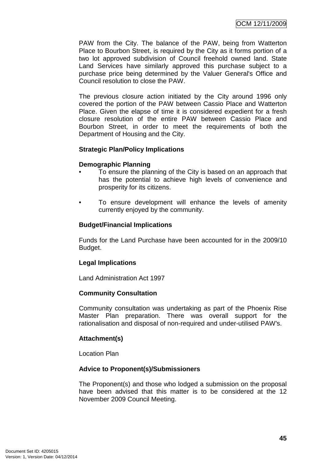PAW from the City. The balance of the PAW, being from Watterton Place to Bourbon Street, is required by the City as it forms portion of a two lot approved subdivision of Council freehold owned land. State Land Services have similarly approved this purchase subject to a purchase price being determined by the Valuer General's Office and Council resolution to close the PAW.

The previous closure action initiated by the City around 1996 only covered the portion of the PAW between Cassio Place and Watterton Place. Given the elapse of time it is considered expedient for a fresh closure resolution of the entire PAW between Cassio Place and Bourbon Street, in order to meet the requirements of both the Department of Housing and the City.

### **Strategic Plan/Policy Implications**

#### **Demographic Planning**

- To ensure the planning of the City is based on an approach that has the potential to achieve high levels of convenience and prosperity for its citizens.
- To ensure development will enhance the levels of amenity currently enjoyed by the community.

#### **Budget/Financial Implications**

Funds for the Land Purchase have been accounted for in the 2009/10 Budget.

#### **Legal Implications**

Land Administration Act 1997

#### **Community Consultation**

Community consultation was undertaking as part of the Phoenix Rise Master Plan preparation. There was overall support for the rationalisation and disposal of non-required and under-utilised PAW's.

#### **Attachment(s)**

Location Plan

#### **Advice to Proponent(s)/Submissioners**

The Proponent(s) and those who lodged a submission on the proposal have been advised that this matter is to be considered at the 12 November 2009 Council Meeting.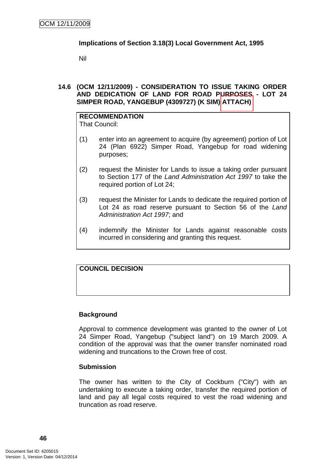# **Implications of Section 3.18(3) Local Government Act, 1995**

Nil

# **14.6 (OCM 12/11/2009) - CONSIDERATION TO ISSUE TAKING ORDER AND DEDICATION OF LAND FOR ROAD PURPOSES - LOT 24 SIMPER ROAD, YANGEBUP (4309727) (K SIM) ATTACH)**

#### **RECOMMENDATION** That Council:

- (1) enter into an agreement to acquire (by agreement) portion of Lot 24 (Plan 6922) Simper Road, Yangebup for road widening purposes;
- (2) request the Minister for Lands to issue a taking order pursuant to Section 177 of the Land Administration Act 1997 to take the required portion of Lot 24;
- (3) request the Minister for Lands to dedicate the required portion of Lot 24 as road reserve pursuant to Section 56 of the Land Administration Act 1997; and
- (4) indemnify the Minister for Lands against reasonable costs incurred in considering and granting this request.

# **COUNCIL DECISION**

# **Background**

Approval to commence development was granted to the owner of Lot 24 Simper Road, Yangebup ("subject land") on 19 March 2009. A condition of the approval was that the owner transfer nominated road widening and truncations to the Crown free of cost.

### **Submission**

The owner has written to the City of Cockburn ("City") with an undertaking to execute a taking order, transfer the required portion of land and pay all legal costs required to vest the road widening and truncation as road reserve.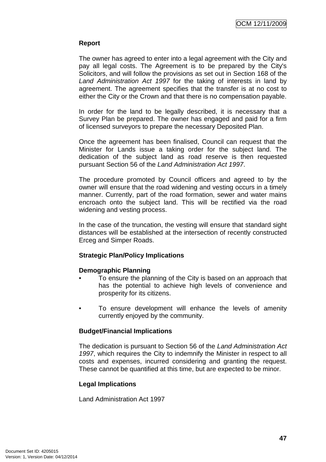# **Report**

The owner has agreed to enter into a legal agreement with the City and pay all legal costs. The Agreement is to be prepared by the City's Solicitors, and will follow the provisions as set out in Section 168 of the Land Administration Act 1997 for the taking of interests in land by agreement. The agreement specifies that the transfer is at no cost to either the City or the Crown and that there is no compensation payable.

In order for the land to be legally described, it is necessary that a Survey Plan be prepared. The owner has engaged and paid for a firm of licensed surveyors to prepare the necessary Deposited Plan.

Once the agreement has been finalised, Council can request that the Minister for Lands issue a taking order for the subject land. The dedication of the subject land as road reserve is then requested pursuant Section 56 of the Land Administration Act 1997.

The procedure promoted by Council officers and agreed to by the owner will ensure that the road widening and vesting occurs in a timely manner. Currently, part of the road formation, sewer and water mains encroach onto the subject land. This will be rectified via the road widening and vesting process.

In the case of the truncation, the vesting will ensure that standard sight distances will be established at the intersection of recently constructed Erceg and Simper Roads.

### **Strategic Plan/Policy Implications**

### **Demographic Planning**

- To ensure the planning of the City is based on an approach that has the potential to achieve high levels of convenience and prosperity for its citizens.
- To ensure development will enhance the levels of amenity currently enjoyed by the community.

### **Budget/Financial Implications**

The dedication is pursuant to Section 56 of the Land Administration Act 1997, which requires the City to indemnify the Minister in respect to all costs and expenses, incurred considering and granting the request. These cannot be quantified at this time, but are expected to be minor.

### **Legal Implications**

Land Administration Act 1997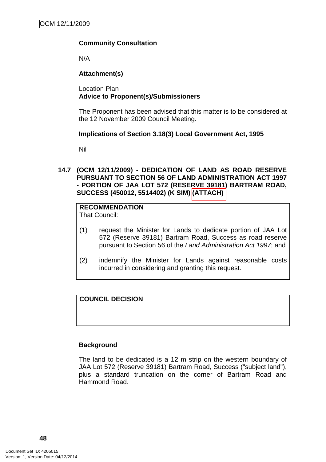# **Community Consultation**

N/A

# **Attachment(s)**

Location Plan **Advice to Proponent(s)/Submissioners** 

The Proponent has been advised that this matter is to be considered at the 12 November 2009 Council Meeting.

### **Implications of Section 3.18(3) Local Government Act, 1995**

Nil

**14.7 (OCM 12/11/2009) - DEDICATION OF LAND AS ROAD RESERVE PURSUANT TO SECTION 56 OF LAND ADMINISTRATION ACT 1997 - PORTION OF JAA LOT 572 (RESERVE 39181) BARTRAM ROAD, SUCCESS (450012, 5514402) (K SIM) (ATTACH)** 

# **RECOMMENDATION**

That Council:

- (1) request the Minister for Lands to dedicate portion of JAA Lot 572 (Reserve 39181) Bartram Road, Success as road reserve pursuant to Section 56 of the Land Administration Act 1997; and
- (2) indemnify the Minister for Lands against reasonable costs incurred in considering and granting this request.

# **COUNCIL DECISION**

### **Background**

The land to be dedicated is a 12 m strip on the western boundary of JAA Lot 572 (Reserve 39181) Bartram Road, Success ("subject land"), plus a standard truncation on the corner of Bartram Road and Hammond Road.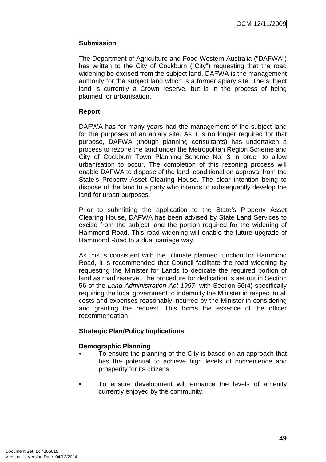# **Submission**

The Department of Agriculture and Food Western Australia ("DAFWA") has written to the City of Cockburn ("City") requesting that the road widening be excised from the subject land. DAFWA is the management authority for the subject land which is a former apiary site. The subject land is currently a Crown reserve, but is in the process of being planned for urbanisation.

# **Report**

DAFWA has for many years had the management of the subject land for the purposes of an apiary site. As it is no longer required for that purpose, DAFWA (though planning consultants) has undertaken a process to rezone the land under the Metropolitan Region Scheme and City of Cockburn Town Planning Scheme No. 3 in order to allow urbanisation to occur. The completion of this rezoning process will enable DAFWA to dispose of the land, conditional on approval from the State's Property Asset Clearing House. The clear intention being to dispose of the land to a party who intends to subsequently develop the land for urban purposes.

Prior to submitting the application to the State's Property Asset Clearing House, DAFWA has been advised by State Land Services to excise from the subject land the portion required for the widening of Hammond Road. This road widening will enable the future upgrade of Hammond Road to a dual carriage way.

As this is consistent with the ultimate planned function for Hammond Road, it is recommended that Council facilitate the road widening by requesting the Minister for Lands to dedicate the required portion of land as road reserve. The procedure for dedication is set out in Section 56 of the Land Administration Act 1997, with Section 56(4) specifically requiring the local government to indemnify the Minister in respect to all costs and expenses reasonably incurred by the Minister in considering and granting the request. This forms the essence of the officer recommendation.

### **Strategic Plan/Policy Implications**

### **Demographic Planning**

- To ensure the planning of the City is based on an approach that has the potential to achieve high levels of convenience and prosperity for its citizens.
- To ensure development will enhance the levels of amenity currently enjoyed by the community.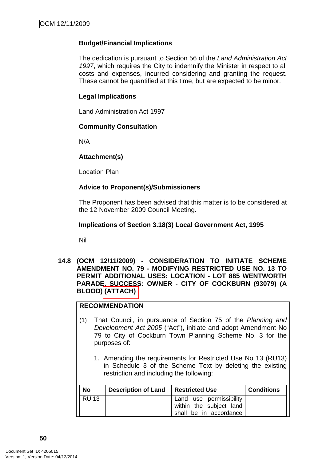# **Budget/Financial Implications**

The dedication is pursuant to Section 56 of the Land Administration Act 1997, which requires the City to indemnify the Minister in respect to all costs and expenses, incurred considering and granting the request. These cannot be quantified at this time, but are expected to be minor.

### **Legal Implications**

Land Administration Act 1997

### **Community Consultation**

N/A

# **Attachment(s)**

Location Plan

# **Advice to Proponent(s)/Submissioners**

The Proponent has been advised that this matter is to be considered at the 12 November 2009 Council Meeting.

# **Implications of Section 3.18(3) Local Government Act, 1995**

Nil

**14.8 (OCM 12/11/2009) - CONSIDERATION TO INITIATE SCHEME AMENDMENT NO. 79 - MODIFYING RESTRICTED USE NO. 13 TO PERMIT ADDITIONAL USES: LOCATION - LOT 885 WENTWORTH PARADE, SUCCESS: OWNER - CITY OF COCKBURN (93079) (A BLOOD) (ATTACH)** 

# **RECOMMENDATION**

- (1) That Council, in pursuance of Section 75 of the Planning and Development Act 2005 ("Act"), initiate and adopt Amendment No 79 to City of Cockburn Town Planning Scheme No. 3 for the purposes of:
	- 1. Amending the requirements for Restricted Use No 13 (RU13) in Schedule 3 of the Scheme Text by deleting the existing restriction and including the following:

| No           | <b>Description of Land</b> | <b>Restricted Use</b>                                                        | <b>Conditions</b> |
|--------------|----------------------------|------------------------------------------------------------------------------|-------------------|
| <b>RU 13</b> |                            | Land use permissibility<br>within the subject land<br>shall be in accordance |                   |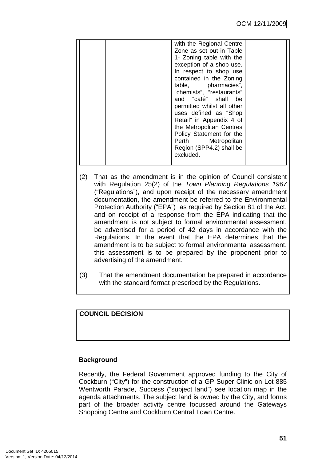- (2) That as the amendment is in the opinion of Council consistent with Regulation 25(2) of the Town Planning Regulations 1967 ("Regulations"), and upon receipt of the necessary amendment documentation, the amendment be referred to the Environmental Protection Authority ("EPA") as required by Section 81 of the Act, and on receipt of a response from the EPA indicating that the amendment is not subject to formal environmental assessment, be advertised for a period of 42 days in accordance with the Regulations. In the event that the EPA determines that the amendment is to be subject to formal environmental assessment, this assessment is to be prepared by the proponent prior to advertising of the amendment.
- (3) That the amendment documentation be prepared in accordance with the standard format prescribed by the Regulations.

# **COUNCIL DECISION**

### **Background**

Recently, the Federal Government approved funding to the City of Cockburn ("City") for the construction of a GP Super Clinic on Lot 885 Wentworth Parade, Success ("subject land") see location map in the agenda attachments. The subject land is owned by the City, and forms part of the broader activity centre focussed around the Gateways Shopping Centre and Cockburn Central Town Centre.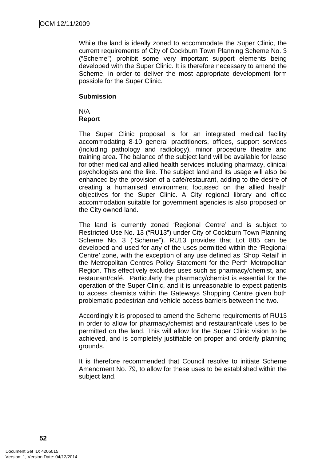While the land is ideally zoned to accommodate the Super Clinic, the current requirements of City of Cockburn Town Planning Scheme No. 3 ("Scheme") prohibit some very important support elements being developed with the Super Clinic. It is therefore necessary to amend the Scheme, in order to deliver the most appropriate development form possible for the Super Clinic.

### **Submission**

N/A **Report**

The Super Clinic proposal is for an integrated medical facility accommodating 8-10 general practitioners, offices, support services (including pathology and radiology), minor procedure theatre and training area. The balance of the subject land will be available for lease for other medical and allied health services including pharmacy, clinical psychologists and the like. The subject land and its usage will also be enhanced by the provision of a café/restaurant, adding to the desire of creating a humanised environment focussed on the allied health objectives for the Super Clinic. A City regional library and office accommodation suitable for government agencies is also proposed on the City owned land.

The land is currently zoned 'Regional Centre' and is subject to Restricted Use No. 13 ("RU13") under City of Cockburn Town Planning Scheme No. 3 ("Scheme"). RU13 provides that Lot 885 can be developed and used for any of the uses permitted within the 'Regional Centre' zone, with the exception of any use defined as 'Shop Retail' in the Metropolitan Centres Policy Statement for the Perth Metropolitan Region. This effectively excludes uses such as pharmacy/chemist, and restaurant/café. Particularly the pharmacy/chemist is essential for the operation of the Super Clinic, and it is unreasonable to expect patients to access chemists within the Gateways Shopping Centre given both problematic pedestrian and vehicle access barriers between the two.

Accordingly it is proposed to amend the Scheme requirements of RU13 in order to allow for pharmacy/chemist and restaurant/café uses to be permitted on the land. This will allow for the Super Clinic vision to be achieved, and is completely justifiable on proper and orderly planning grounds.

It is therefore recommended that Council resolve to initiate Scheme Amendment No. 79, to allow for these uses to be established within the subject land.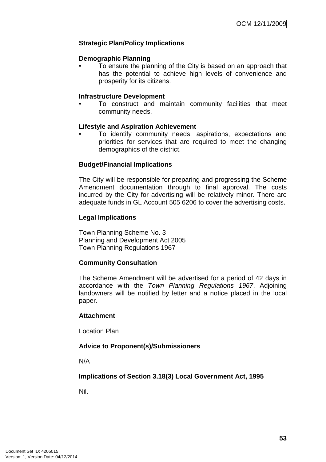# **Strategic Plan/Policy Implications**

#### **Demographic Planning**

• To ensure the planning of the City is based on an approach that has the potential to achieve high levels of convenience and prosperity for its citizens.

#### **Infrastructure Development**

• To construct and maintain community facilities that meet community needs.

#### **Lifestyle and Aspiration Achievement**

• To identify community needs, aspirations, expectations and priorities for services that are required to meet the changing demographics of the district.

### **Budget/Financial Implications**

The City will be responsible for preparing and progressing the Scheme Amendment documentation through to final approval. The costs incurred by the City for advertising will be relatively minor. There are adequate funds in GL Account 505 6206 to cover the advertising costs.

#### **Legal Implications**

Town Planning Scheme No. 3 Planning and Development Act 2005 Town Planning Regulations 1967

### **Community Consultation**

The Scheme Amendment will be advertised for a period of 42 days in accordance with the Town Planning Regulations 1967. Adjoining landowners will be notified by letter and a notice placed in the local paper.

### **Attachment**

Location Plan

### **Advice to Proponent(s)/Submissioners**

N/A

**Implications of Section 3.18(3) Local Government Act, 1995**

Nil.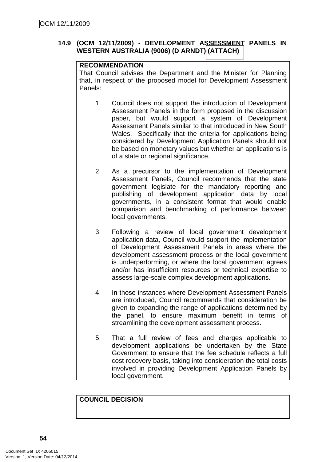# **14.9 (OCM 12/11/2009) - DEVELOPMENT ASSESSMENT PANELS IN WESTERN AUSTRALIA (9006) (D ARNDT) (ATTACH)**

# **RECOMMENDATION**

That Council advises the Department and the Minister for Planning that, in respect of the proposed model for Development Assessment Panels:

- 1. Council does not support the introduction of Development Assessment Panels in the form proposed in the discussion paper, but would support a system of Development Assessment Panels similar to that introduced in New South Wales. Specifically that the criteria for applications being considered by Development Application Panels should not be based on monetary values but whether an applications is of a state or regional significance.
- 2. As a precursor to the implementation of Development Assessment Panels, Council recommends that the state government legislate for the mandatory reporting and publishing of development application data by local governments, in a consistent format that would enable comparison and benchmarking of performance between local governments.
- 3. Following a review of local government development application data, Council would support the implementation of Development Assessment Panels in areas where the development assessment process or the local government is underperforming, or where the local government agrees and/or has insufficient resources or technical expertise to assess large-scale complex development applications.
- 4. In those instances where Development Assessment Panels are introduced, Council recommends that consideration be given to expanding the range of applications determined by the panel, to ensure maximum benefit in terms of streamlining the development assessment process.
- 5. That a full review of fees and charges applicable to development applications be undertaken by the State Government to ensure that the fee schedule reflects a full cost recovery basis, taking into consideration the total costs involved in providing Development Application Panels by local government.

# **COUNCIL DECISION**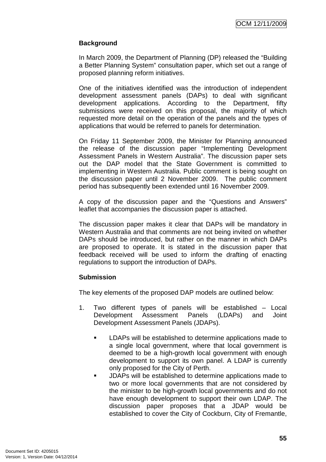# **Background**

In March 2009, the Department of Planning (DP) released the "Building a Better Planning System" consultation paper, which set out a range of proposed planning reform initiatives.

One of the initiatives identified was the introduction of independent development assessment panels (DAPs) to deal with significant development applications. According to the Department, fifty submissions were received on this proposal, the majority of which requested more detail on the operation of the panels and the types of applications that would be referred to panels for determination.

On Friday 11 September 2009, the Minister for Planning announced the release of the discussion paper "Implementing Development Assessment Panels in Western Australia". The discussion paper sets out the DAP model that the State Government is committed to implementing in Western Australia. Public comment is being sought on the discussion paper until 2 November 2009. The public comment period has subsequently been extended until 16 November 2009.

A copy of the discussion paper and the "Questions and Answers" leaflet that accompanies the discussion paper is attached.

The discussion paper makes it clear that DAPs will be mandatory in Western Australia and that comments are not being invited on whether DAPs should be introduced, but rather on the manner in which DAPs are proposed to operate. It is stated in the discussion paper that feedback received will be used to inform the drafting of enacting regulations to support the introduction of DAPs.

# **Submission**

The key elements of the proposed DAP models are outlined below:

- 1. Two different types of panels will be established Local Development Assessment Panels (LDAPs) and Joint Development Assessment Panels (JDAPs).
	- **EXECUTE:** LDAPs will be established to determine applications made to a single local government, where that local government is deemed to be a high-growth local government with enough development to support its own panel. A LDAP is currently only proposed for the City of Perth.
	- JDAPs will be established to determine applications made to two or more local governments that are not considered by the minister to be high-growth local governments and do not have enough development to support their own LDAP. The discussion paper proposes that a JDAP would be established to cover the City of Cockburn, City of Fremantle,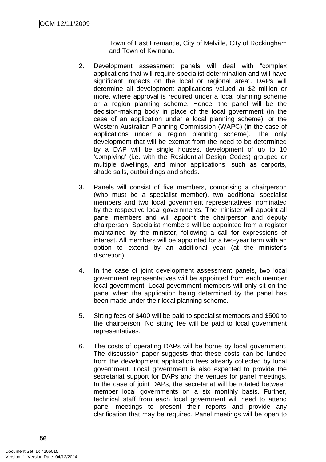Town of East Fremantle, City of Melville, City of Rockingham and Town of Kwinana.

- 2. Development assessment panels will deal with "complex applications that will require specialist determination and will have significant impacts on the local or regional area". DAPs will determine all development applications valued at \$2 million or more, where approval is required under a local planning scheme or a region planning scheme. Hence, the panel will be the decision-making body in place of the local government (in the case of an application under a local planning scheme), or the Western Australian Planning Commission (WAPC) (in the case of applications under a region planning scheme). The only development that will be exempt from the need to be determined by a DAP will be single houses, development of up to 10 'complying' (i.e. with the Residential Design Codes) grouped or multiple dwellings, and minor applications, such as carports, shade sails, outbuildings and sheds.
- 3. Panels will consist of five members, comprising a chairperson (who must be a specialist member), two additional specialist members and two local government representatives, nominated by the respective local governments. The minister will appoint all panel members and will appoint the chairperson and deputy chairperson. Specialist members will be appointed from a register maintained by the minister, following a call for expressions of interest. All members will be appointed for a two-year term with an option to extend by an additional year (at the minister's discretion).
- 4. In the case of joint development assessment panels, two local government representatives will be appointed from each member local government. Local government members will only sit on the panel when the application being determined by the panel has been made under their local planning scheme.
- 5. Sitting fees of \$400 will be paid to specialist members and \$500 to the chairperson. No sitting fee will be paid to local government representatives.
- 6. The costs of operating DAPs will be borne by local government. The discussion paper suggests that these costs can be funded from the development application fees already collected by local government. Local government is also expected to provide the secretariat support for DAPs and the venues for panel meetings. In the case of joint DAPs, the secretariat will be rotated between member local governments on a six monthly basis. Further, technical staff from each local government will need to attend panel meetings to present their reports and provide any clarification that may be required. Panel meetings will be open to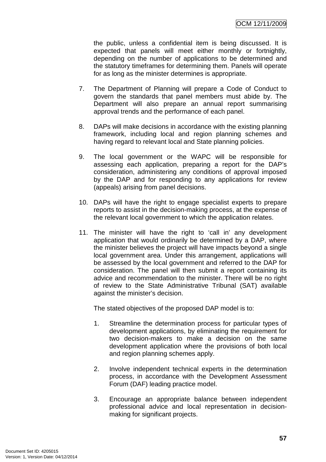the public, unless a confidential item is being discussed. It is expected that panels will meet either monthly or fortnightly, depending on the number of applications to be determined and the statutory timeframes for determining them. Panels will operate for as long as the minister determines is appropriate.

- 7. The Department of Planning will prepare a Code of Conduct to govern the standards that panel members must abide by. The Department will also prepare an annual report summarising approval trends and the performance of each panel.
- 8. DAPs will make decisions in accordance with the existing planning framework, including local and region planning schemes and having regard to relevant local and State planning policies.
- 9. The local government or the WAPC will be responsible for assessing each application, preparing a report for the DAP's consideration, administering any conditions of approval imposed by the DAP and for responding to any applications for review (appeals) arising from panel decisions.
- 10. DAPs will have the right to engage specialist experts to prepare reports to assist in the decision-making process, at the expense of the relevant local government to which the application relates.
- 11. The minister will have the right to 'call in' any development application that would ordinarily be determined by a DAP, where the minister believes the project will have impacts beyond a single local government area. Under this arrangement, applications will be assessed by the local government and referred to the DAP for consideration. The panel will then submit a report containing its advice and recommendation to the minister. There will be no right of review to the State Administrative Tribunal (SAT) available against the minister's decision.

The stated objectives of the proposed DAP model is to:

- 1. Streamline the determination process for particular types of development applications, by eliminating the requirement for two decision-makers to make a decision on the same development application where the provisions of both local and region planning schemes apply.
- 2. Involve independent technical experts in the determination process, in accordance with the Development Assessment Forum (DAF) leading practice model.
- 3. Encourage an appropriate balance between independent professional advice and local representation in decisionmaking for significant projects.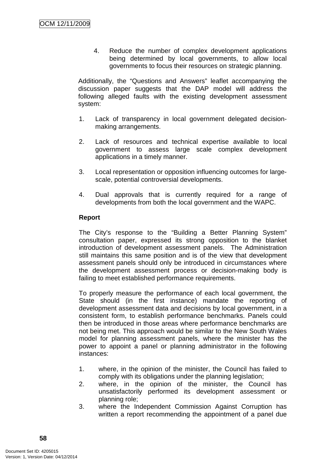4. Reduce the number of complex development applications being determined by local governments, to allow local governments to focus their resources on strategic planning.

Additionally, the "Questions and Answers" leaflet accompanying the discussion paper suggests that the DAP model will address the following alleged faults with the existing development assessment system:

- 1. Lack of transparency in local government delegated decisionmaking arrangements.
- 2. Lack of resources and technical expertise available to local government to assess large scale complex development applications in a timely manner.
- 3. Local representation or opposition influencing outcomes for largescale, potential controversial developments.
- 4. Dual approvals that is currently required for a range of developments from both the local government and the WAPC.

### **Report**

The City's response to the "Building a Better Planning System" consultation paper, expressed its strong opposition to the blanket introduction of development assessment panels. The Administration still maintains this same position and is of the view that development assessment panels should only be introduced in circumstances where the development assessment process or decision-making body is failing to meet established performance requirements.

To properly measure the performance of each local government, the State should (in the first instance) mandate the reporting of development assessment data and decisions by local government, in a consistent form, to establish performance benchmarks. Panels could then be introduced in those areas where performance benchmarks are not being met. This approach would be similar to the New South Wales model for planning assessment panels, where the minister has the power to appoint a panel or planning administrator in the following instances:

- 1. where, in the opinion of the minister, the Council has failed to comply with its obligations under the planning legislation;
- 2. where, in the opinion of the minister, the Council has unsatisfactorily performed its development assessment or planning role;
- 3. where the Independent Commission Against Corruption has written a report recommending the appointment of a panel due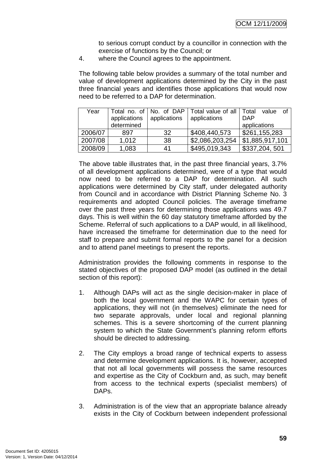to serious corrupt conduct by a councillor in connection with the exercise of functions by the Council; or

4. where the Council agrees to the appointment.

The following table below provides a summary of the total number and value of development applications determined by the City in the past three financial years and identifies those applications that would now need to be referred to a DAP for determination.

| Year    | applications | applications | Total no. of   No. of DAP   Total value of all<br>applications | Total<br>value<br>of I<br><b>DAP</b> |
|---------|--------------|--------------|----------------------------------------------------------------|--------------------------------------|
|         | determined   |              |                                                                | applications                         |
| 2006/07 | 897          | 32           | \$408,440,573                                                  | \$261,155,283                        |
| 2007/08 | 1.012        | 38           | \$2,086,203,254                                                | $\vert$ \$1,885,917,101              |
| 2008/09 | 1,083        | 41           | \$495,019,343                                                  | \$337,204,501                        |

The above table illustrates that, in the past three financial years, 3.7% of all development applications determined, were of a type that would now need to be referred to a DAP for determination. All such applications were determined by City staff, under delegated authority from Council and in accordance with District Planning Scheme No. 3 requirements and adopted Council policies. The average timeframe over the past three years for determining those applications was 49.7 days. This is well within the 60 day statutory timeframe afforded by the Scheme. Referral of such applications to a DAP would, in all likelihood, have increased the timeframe for determination due to the need for staff to prepare and submit formal reports to the panel for a decision and to attend panel meetings to present the reports.

Administration provides the following comments in response to the stated objectives of the proposed DAP model (as outlined in the detail section of this report):

- 1. Although DAPs will act as the single decision-maker in place of both the local government and the WAPC for certain types of applications, they will not (in themselves) eliminate the need for two separate approvals, under local and regional planning schemes. This is a severe shortcoming of the current planning system to which the State Government's planning reform efforts should be directed to addressing.
- 2. The City employs a broad range of technical experts to assess and determine development applications. It is, however, accepted that not all local governments will possess the same resources and expertise as the City of Cockburn and, as such, may benefit from access to the technical experts (specialist members) of DAPs.
- 3. Administration is of the view that an appropriate balance already exists in the City of Cockburn between independent professional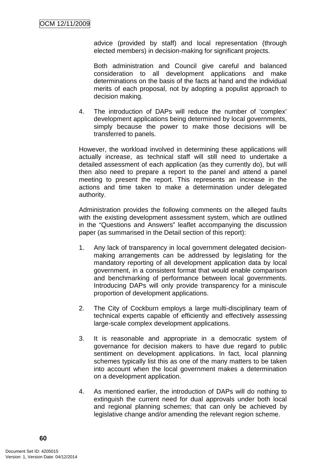advice (provided by staff) and local representation (through elected members) in decision-making for significant projects.

Both administration and Council give careful and balanced consideration to all development applications and make determinations on the basis of the facts at hand and the individual merits of each proposal, not by adopting a populist approach to decision making.

4. The introduction of DAPs will reduce the number of 'complex' development applications being determined by local governments, simply because the power to make those decisions will be transferred to panels.

However, the workload involved in determining these applications will actually increase, as technical staff will still need to undertake a detailed assessment of each application (as they currently do), but will then also need to prepare a report to the panel and attend a panel meeting to present the report. This represents an increase in the actions and time taken to make a determination under delegated authority.

Administration provides the following comments on the alleged faults with the existing development assessment system, which are outlined in the "Questions and Answers" leaflet accompanying the discussion paper (as summarised in the Detail section of this report):

- 1. Any lack of transparency in local government delegated decisionmaking arrangements can be addressed by legislating for the mandatory reporting of all development application data by local government, in a consistent format that would enable comparison and benchmarking of performance between local governments. Introducing DAPs will only provide transparency for a miniscule proportion of development applications.
- 2. The City of Cockburn employs a large multi-disciplinary team of technical experts capable of efficiently and effectively assessing large-scale complex development applications.
- 3. It is reasonable and appropriate in a democratic system of governance for decision makers to have due regard to public sentiment on development applications. In fact, local planning schemes typically list this as one of the many matters to be taken into account when the local government makes a determination on a development application.
- 4. As mentioned earlier, the introduction of DAPs will do nothing to extinguish the current need for dual approvals under both local and regional planning schemes; that can only be achieved by legislative change and/or amending the relevant region scheme.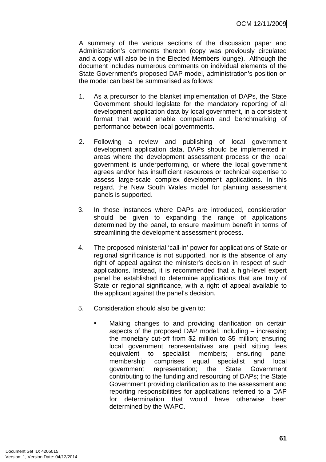A summary of the various sections of the discussion paper and Administration's comments thereon (copy was previously circulated and a copy will also be in the Elected Members lounge). Although the document includes numerous comments on individual elements of the State Government's proposed DAP model, administration's position on the model can best be summarised as follows:

- 1. As a precursor to the blanket implementation of DAPs, the State Government should legislate for the mandatory reporting of all development application data by local government, in a consistent format that would enable comparison and benchmarking of performance between local governments.
- 2. Following a review and publishing of local government development application data, DAPs should be implemented in areas where the development assessment process or the local government is underperforming, or where the local government agrees and/or has insufficient resources or technical expertise to assess large-scale complex development applications. In this regard, the New South Wales model for planning assessment panels is supported.
- 3. In those instances where DAPs are introduced, consideration should be given to expanding the range of applications determined by the panel, to ensure maximum benefit in terms of streamlining the development assessment process.
- 4. The proposed ministerial 'call-in' power for applications of State or regional significance is not supported, nor is the absence of any right of appeal against the minister's decision in respect of such applications. Instead, it is recommended that a high-level expert panel be established to determine applications that are truly of State or regional significance, with a right of appeal available to the applicant against the panel's decision.
- 5. Consideration should also be given to:
	- Making changes to and providing clarification on certain aspects of the proposed DAP model, including – increasing the monetary cut-off from \$2 million to \$5 million; ensuring local government representatives are paid sitting fees equivalent to specialist members; ensuring panel membership comprises equal specialist and local government representation; the State Government contributing to the funding and resourcing of DAPs; the State Government providing clarification as to the assessment and reporting responsibilities for applications referred to a DAP for determination that would have otherwise been determined by the WAPC.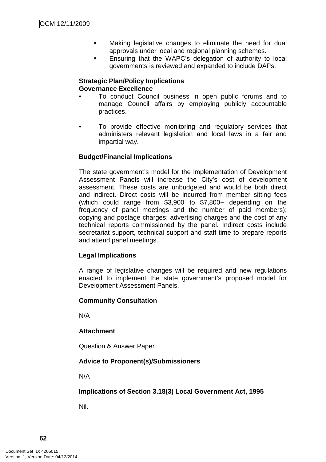- Making legislative changes to eliminate the need for dual approvals under local and regional planning schemes.
- Ensuring that the WAPC's delegation of authority to local governments is reviewed and expanded to include DAPs.

### **Strategic Plan/Policy Implications Governance Excellence**

- To conduct Council business in open public forums and to manage Council affairs by employing publicly accountable practices.
- To provide effective monitoring and regulatory services that administers relevant legislation and local laws in a fair and impartial way.

# **Budget/Financial Implications**

The state government's model for the implementation of Development Assessment Panels will increase the City's cost of development assessment. These costs are unbudgeted and would be both direct and indirect. Direct costs will be incurred from member sitting fees (which could range from \$3,900 to \$7,800+ depending on the frequency of panel meetings and the number of paid members); copying and postage charges; advertising charges and the cost of any technical reports commissioned by the panel. Indirect costs include secretariat support, technical support and staff time to prepare reports and attend panel meetings.

### **Legal Implications**

A range of legislative changes will be required and new regulations enacted to implement the state government's proposed model for Development Assessment Panels.

### **Community Consultation**

N/A

# **Attachment**

Question & Answer Paper

# **Advice to Proponent(s)/Submissioners**

N/A

**Implications of Section 3.18(3) Local Government Act, 1995**

Nil.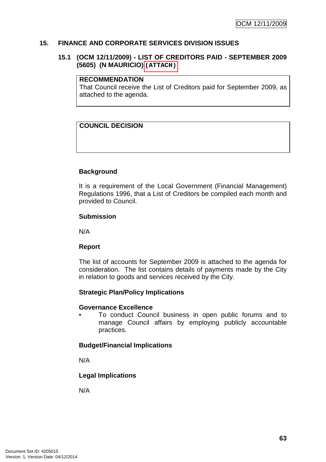### **15. FINANCE AND CORPORATE SERVICES DIVISION ISSUES**

### **15.1 (OCM 12/11/2009) - LIST OF CREDITORS PAID - SEPTEMBER 2009 (5605) (N MAURICIO)**

#### **RECOMMENDATION**

That Council receive the List of Creditors paid for September 2009, as attached to the agenda.

# **COUNCIL DECISION**

# **Background**

It is a requirement of the Local Government (Financial Management) Regulations 1996, that a List of Creditors be compiled each month and provided to Council.

### **Submission**

N/A

### **Report**

The list of accounts for September 2009 is attached to the agenda for consideration. The list contains details of payments made by the City in relation to goods and services received by the City. (5605) (N MAURICIO) (ATTACH)<br>
RECOMMENDATION<br>
That Council receive the List of<br>
attached to the agenda.<br>
COUNCIL DECISION<br>
COUNCIL DECISION<br>
Examplement of the Local<br>
Report<br>
NA<br>
NA<br>
Report<br>
The list of accounts for Septem

### **Strategic Plan/Policy Implications**

#### **Governance Excellence**

• To conduct Council business in open public forums and to manage Council affairs by employing publicly accountable practices.

### **Budget/Financial Implications**

N/A

### **Legal Implications**

N/A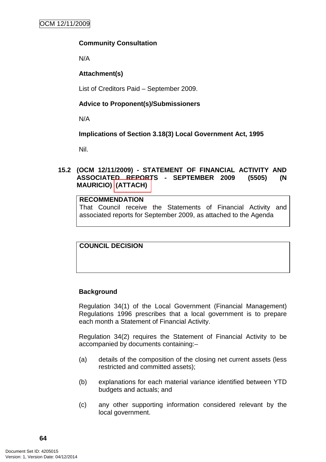# **Community Consultation**

N/A

# **Attachment(s)**

List of Creditors Paid – September 2009.

# **Advice to Proponent(s)/Submissioners**

N/A

# **Implications of Section 3.18(3) Local Government Act, 1995**

Nil.

# **15.2 (OCM 12/11/2009) - STATEMENT OF FINANCIAL ACTIVITY AND ASSOCIATED REPORTS - SEPTEMBER 2009 (5505) (N MAURICIO) (ATTACH)**

## **RECOMMENDATION**

That Council receive the Statements of Financial Activity and associated reports for September 2009, as attached to the Agenda

# **COUNCIL DECISION**

# **Background**

Regulation 34(1) of the Local Government (Financial Management) Regulations 1996 prescribes that a local government is to prepare each month a Statement of Financial Activity.

Regulation 34(2) requires the Statement of Financial Activity to be accompanied by documents containing:–

- (a) details of the composition of the closing net current assets (less restricted and committed assets);
- (b) explanations for each material variance identified between YTD budgets and actuals; and
- (c) any other supporting information considered relevant by the local government.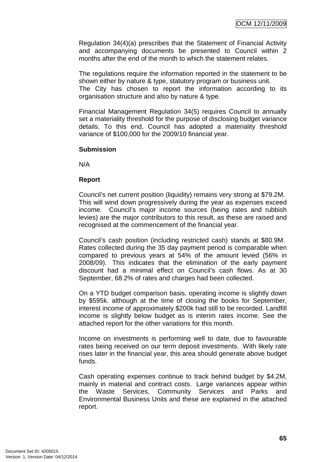Regulation 34(4)(a) prescribes that the Statement of Financial Activity and accompanying documents be presented to Council within 2 months after the end of the month to which the statement relates.

The regulations require the information reported in the statement to be shown either by nature & type, statutory program or business unit. The City has chosen to report the information according to its organisation structure and also by nature & type.

Financial Management Regulation 34(5) requires Council to annually set a materiality threshold for the purpose of disclosing budget variance details. To this end, Council has adopted a materiality threshold variance of \$100,000 for the 2009/10 financial year.

### **Submission**

N/A

#### **Report**

Council's net current position (liquidity) remains very strong at \$79.2M. This will wind down progressively during the year as expenses exceed income. Council's major income sources (being rates and rubbish levies) are the major contributors to this result, as these are raised and recognised at the commencement of the financial year.

Council's cash position (including restricted cash) stands at \$80.9M. Rates collected during the 35 day payment period is comparable when compared to previous years at 54% of the amount levied (56% in 2008/09). This indicates that the elimination of the early payment discount had a minimal effect on Council's cash flows. As at 30 September, 68.2% of rates and charges had been collected.

On a YTD budget comparison basis, operating income is slightly down by \$595k. although at the time of closing the books for September, interest income of approximately \$200k had still to be recorded. Landfill income is slightly below budget as is interim rates income. See the attached report for the other variations for this month.

Income on investments is performing well to date, due to favourable rates being received on our term deposit investments. With likely rate rises later in the financial year, this area should generate above budget funds.

Cash operating expenses continue to track behind budget by \$4.2M, mainly in material and contract costs. Large variances appear within the Waste Services, Community Services and Parks and Environmental Business Units and these are explained in the attached report.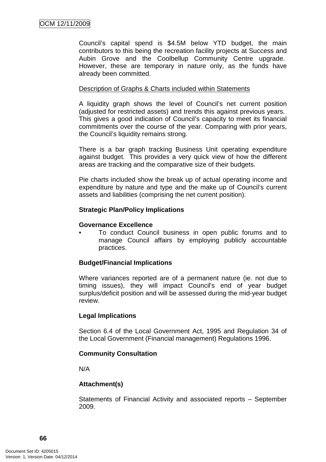Council's capital spend is \$4.5M below YTD budget, the main contributors to this being the recreation facility projects at Success and Aubin Grove and the Coolbellup Community Centre upgrade. However, these are temporary in nature only, as the funds have already been committed.

# Description of Graphs & Charts included within Statements

A liquidity graph shows the level of Council's net current position (adjusted for restricted assets) and trends this against previous years. This gives a good indication of Council's capacity to meet its financial commitments over the course of the year. Comparing with prior years, the Council's liquidity remains strong.

There is a bar graph tracking Business Unit operating expenditure against budget. This provides a very quick view of how the different areas are tracking and the comparative size of their budgets.

Pie charts included show the break up of actual operating income and expenditure by nature and type and the make up of Council's current assets and liabilities (comprising the net current position).

### **Strategic Plan/Policy Implications**

# **Governance Excellence**

• To conduct Council business in open public forums and to manage Council affairs by employing publicly accountable practices.

# **Budget/Financial Implications**

Where variances reported are of a permanent nature (ie. not due to timing issues), they will impact Council's end of year budget surplus/deficit position and will be assessed during the mid-year budget review.

### **Legal Implications**

Section 6.4 of the Local Government Act, 1995 and Regulation 34 of the Local Government (Financial management) Regulations 1996.

### **Community Consultation**

N/A

### **Attachment(s)**

Statements of Financial Activity and associated reports – September 2009.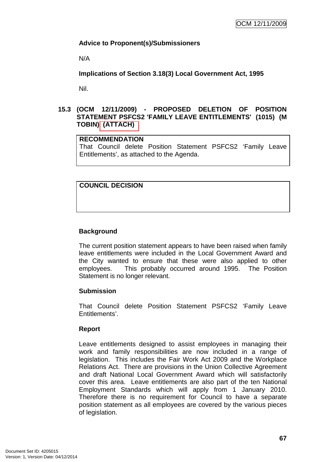# **Advice to Proponent(s)/Submissioners**

N/A

**Implications of Section 3.18(3) Local Government Act, 1995**

Nil.

# **15.3 (OCM 12/11/2009) - PROPOSED DELETION OF POSITION STATEMENT PSFCS2 'FAMILY LEAVE ENTITLEMENTS' (1015) (M TOBIN) (ATTACH)**

# **RECOMMENDATION**

That Council delete Position Statement PSFCS2 'Family Leave Entitlements', as attached to the Agenda.

# **COUNCIL DECISION**

# **Background**

The current position statement appears to have been raised when family leave entitlements were included in the Local Government Award and the City wanted to ensure that these were also applied to other employees. This probably occurred around 1995. The Position Statement is no longer relevant.

### **Submission**

That Council delete Position Statement PSFCS2 'Family Leave Entitlements'.

### **Report**

Leave entitlements designed to assist employees in managing their work and family responsibilities are now included in a range of legislation. This includes the Fair Work Act 2009 and the Workplace Relations Act. There are provisions in the Union Collective Agreement and draft National Local Government Award which will satisfactorily cover this area. Leave entitlements are also part of the ten National Employment Standards which will apply from 1 January 2010. Therefore there is no requirement for Council to have a separate position statement as all employees are covered by the various pieces of legislation.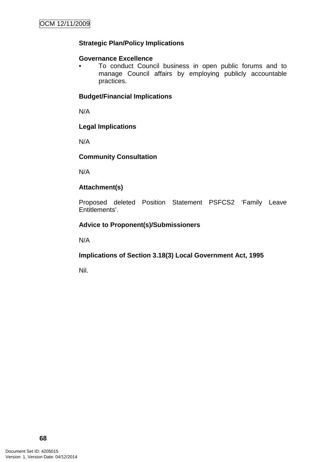# **Strategic Plan/Policy Implications**

### **Governance Excellence**

• To conduct Council business in open public forums and to manage Council affairs by employing publicly accountable practices.

# **Budget/Financial Implications**

N/A

### **Legal Implications**

N/A

# **Community Consultation**

N/A

# **Attachment(s)**

Proposed deleted Position Statement PSFCS2 'Family Leave Entitlements'.

# **Advice to Proponent(s)/Submissioners**

N/A

# **Implications of Section 3.18(3) Local Government Act, 1995**

Nil.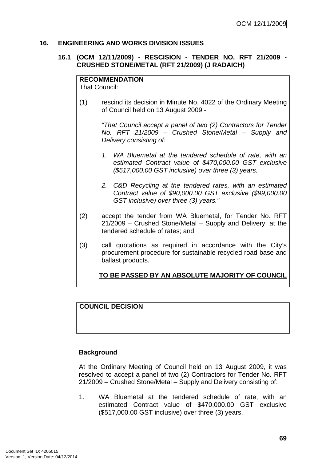### **16. ENGINEERING AND WORKS DIVISION ISSUES**

### **16.1 (OCM 12/11/2009) - RESCISION - TENDER NO. RFT 21/2009 - CRUSHED STONE/METAL (RFT 21/2009) (J RADAICH)**

#### **RECOMMENDATION**

That Council:

(1) rescind its decision in Minute No. 4022 of the Ordinary Meeting of Council held on 13 August 2009 -

> "That Council accept a panel of two (2) Contractors for Tender No. RFT 21/2009 – Crushed Stone/Metal – Supply and Delivery consisting of:

- 1. WA Bluemetal at the tendered schedule of rate, with an estimated Contract value of \$470,000.00 GST exclusive (\$517,000.00 GST inclusive) over three (3) years.
- 2. C&D Recycling at the tendered rates, with an estimated Contract value of \$90,000.00 GST exclusive (\$99,000.00 GST inclusive) over three (3) years."
- (2) accept the tender from WA Bluemetal, for Tender No. RFT 21/2009 – Crushed Stone/Metal – Supply and Delivery, at the tendered schedule of rates; and
- (3) call quotations as required in accordance with the City's procurement procedure for sustainable recycled road base and ballast products.

# **TO BE PASSED BY AN ABSOLUTE MAJORITY OF COUNCIL**

# **COUNCIL DECISION**

### **Background**

At the Ordinary Meeting of Council held on 13 August 2009, it was resolved to accept a panel of two (2) Contractors for Tender No. RFT 21/2009 – Crushed Stone/Metal – Supply and Delivery consisting of:

1. WA Bluemetal at the tendered schedule of rate, with an estimated Contract value of \$470,000.00 GST exclusive (\$517,000.00 GST inclusive) over three (3) years.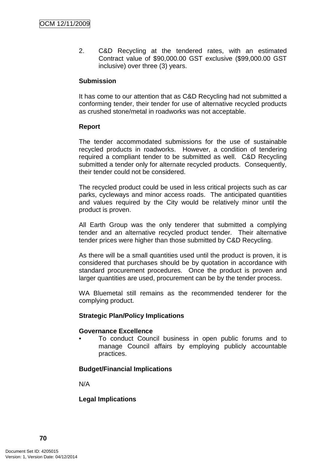2. C&D Recycling at the tendered rates, with an estimated Contract value of \$90,000.00 GST exclusive (\$99,000.00 GST inclusive) over three (3) years.

### **Submission**

It has come to our attention that as C&D Recycling had not submitted a conforming tender, their tender for use of alternative recycled products as crushed stone/metal in roadworks was not acceptable.

### **Report**

The tender accommodated submissions for the use of sustainable recycled products in roadworks. However, a condition of tendering required a compliant tender to be submitted as well. C&D Recycling submitted a tender only for alternate recycled products. Consequently, their tender could not be considered.

The recycled product could be used in less critical projects such as car parks, cycleways and minor access roads. The anticipated quantities and values required by the City would be relatively minor until the product is proven.

All Earth Group was the only tenderer that submitted a complying tender and an alternative recycled product tender. Their alternative tender prices were higher than those submitted by C&D Recycling.

As there will be a small quantities used until the product is proven, it is considered that purchases should be by quotation in accordance with standard procurement procedures. Once the product is proven and larger quantities are used, procurement can be by the tender process.

WA Bluemetal still remains as the recommended tenderer for the complying product.

### **Strategic Plan/Policy Implications**

### **Governance Excellence**

• To conduct Council business in open public forums and to manage Council affairs by employing publicly accountable practices.

### **Budget/Financial Implications**

N/A

# **Legal Implications**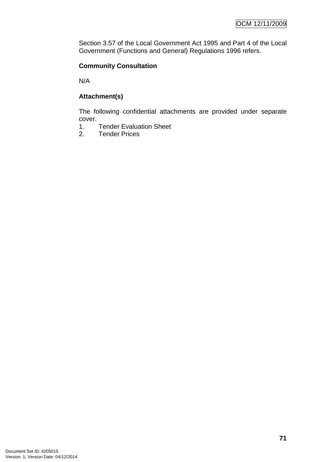Section 3.57 of the Local Government Act 1995 and Part 4 of the Local Government (Functions and General) Regulations 1996 refers.

# **Community Consultation**

N/A

# **Attachment(s)**

The following confidential attachments are provided under separate cover.

- 1. Tender Evaluation Sheet
- 2. Tender Prices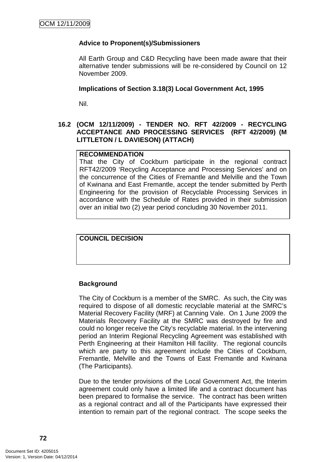## **Advice to Proponent(s)/Submissioners**

All Earth Group and C&D Recycling have been made aware that their alternative tender submissions will be re-considered by Council on 12 November 2009.

#### **Implications of Section 3.18(3) Local Government Act, 1995**

Nil.

### **16.2 (OCM 12/11/2009) - TENDER NO. RFT 42/2009 - RECYCLING ACCEPTANCE AND PROCESSING SERVICES (RFT 42/2009) (M LITTLETON / L DAVIESON) (ATTACH)**

#### **RECOMMENDATION**

That the City of Cockburn participate in the regional contract RFT42/2009 'Recycling Acceptance and Processing Services' and on the concurrence of the Cities of Fremantle and Melville and the Town of Kwinana and East Fremantle, accept the tender submitted by Perth Engineering for the provision of Recyclable Processing Services in accordance with the Schedule of Rates provided in their submission over an initial two (2) year period concluding 30 November 2011.

**COUNCIL DECISION** 

### **Background**

The City of Cockburn is a member of the SMRC. As such, the City was required to dispose of all domestic recyclable material at the SMRC's Material Recovery Facility (MRF) at Canning Vale. On 1 June 2009 the Materials Recovery Facility at the SMRC was destroyed by fire and could no longer receive the City's recyclable material. In the intervening period an Interim Regional Recycling Agreement was established with Perth Engineering at their Hamilton Hill facility. The regional councils which are party to this agreement include the Cities of Cockburn, Fremantle, Melville and the Towns of East Fremantle and Kwinana (The Participants).

Due to the tender provisions of the Local Government Act, the Interim agreement could only have a limited life and a contract document has been prepared to formalise the service. The contract has been written as a regional contract and all of the Participants have expressed their intention to remain part of the regional contract. The scope seeks the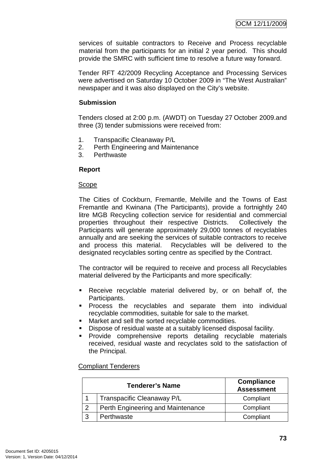services of suitable contractors to Receive and Process recyclable material from the participants for an initial 2 year period. This should provide the SMRC with sufficient time to resolve a future way forward.

Tender RFT 42/2009 Recycling Acceptance and Processing Services were advertised on Saturday 10 October 2009 in "The West Australian" newspaper and it was also displayed on the City's website.

## **Submission**

Tenders closed at 2:00 p.m. (AWDT) on Tuesday 27 October 2009.and three (3) tender submissions were received from:

- 1. Transpacific Cleanaway P/L
- 2. Perth Engineering and Maintenance
- 3. Perthwaste

### **Report**

### Scope

The Cities of Cockburn, Fremantle, Melville and the Towns of East Fremantle and Kwinana (The Participants), provide a fortnightly 240 litre MGB Recycling collection service for residential and commercial properties throughout their respective Districts. Collectively the Participants will generate approximately 29,000 tonnes of recyclables annually and are seeking the services of suitable contractors to receive and process this material. Recyclables will be delivered to the designated recyclables sorting centre as specified by the Contract.

The contractor will be required to receive and process all Recyclables material delivered by the Participants and more specifically:

- Receive recyclable material delivered by, or on behalf of, the Participants.
- **Process the recyclables and separate them into individual** recyclable commodities, suitable for sale to the market.
- **Market and sell the sorted recyclable commodities.**
- Dispose of residual waste at a suitably licensed disposal facility.
- Provide comprehensive reports detailing recyclable materials received, residual waste and recyclates sold to the satisfaction of the Principal.

### Compliant Tenderers

| <b>Tenderer's Name</b> |                                   | <b>Compliance</b><br><b>Assessment</b> |
|------------------------|-----------------------------------|----------------------------------------|
|                        | Transpacific Cleanaway P/L        | Compliant                              |
| っ                      | Perth Engineering and Maintenance | Compliant                              |
| 3                      | Perthwaste                        | Compliant                              |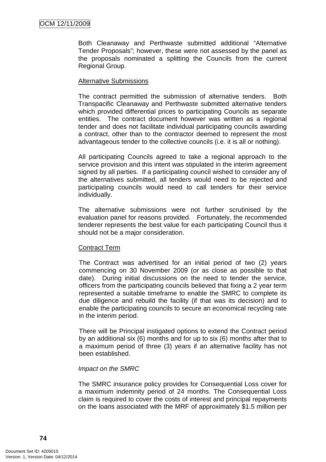Both Cleanaway and Perthwaste submitted additional "Alternative Tender Proposals"; however, these were not assessed by the panel as the proposals nominated a splitting the Councils from the current Regional Group.

### Alternative Submissions

The contract permitted the submission of alternative tenders. Both Transpacific Cleanaway and Perthwaste submitted alternative tenders which provided differential prices to participating Councils as separate entities. The contract document however was written as a regional tender and does not facilitate individual participating councils awarding a contract, other than to the contractor deemed to represent the most advantageous tender to the collective councils (i.e. it is all or nothing).

All participating Councils agreed to take a regional approach to the service provision and this intent was stipulated in the interim agreement signed by all parties. If a participating council wished to consider any of the alternatives submitted, all tenders would need to be rejected and participating councils would need to call tenders for their service individually.

The alternative submissions were not further scrutinised by the evaluation panel for reasons provided. Fortunately, the recommended tenderer represents the best value for each participating Council thus it should not be a major consideration.

### Contract Term

The Contract was advertised for an initial period of two (2) years commencing on 30 November 2009 (or as close as possible to that date). During initial discussions on the need to tender the service, officers from the participating councils believed that fixing a 2 year term represented a suitable timeframe to enable the SMRC to complete its due diligence and rebuild the facility (if that was its decision) and to enable the participating councils to secure an economical recycling rate in the interim period.

There will be Principal instigated options to extend the Contract period by an additional six (6) months and for up to six (6) months after that to a maximum period of three (3) years if an alternative facility has not been established.

### Impact on the SMRC

The SMRC insurance policy provides for Consequential Loss cover for a maximum indemnity period of 24 months. The Consequential Loss claim is required to cover the costs of interest and principal repayments on the loans associated with the MRF of approximately \$1.5 million per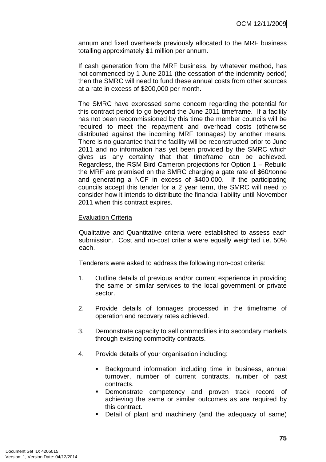annum and fixed overheads previously allocated to the MRF business totalling approximately \$1 million per annum.

If cash generation from the MRF business, by whatever method, has not commenced by 1 June 2011 (the cessation of the indemnity period) then the SMRC will need to fund these annual costs from other sources at a rate in excess of \$200,000 per month.

The SMRC have expressed some concern regarding the potential for this contract period to go beyond the June 2011 timeframe. If a facility has not been recommissioned by this time the member councils will be required to meet the repayment and overhead costs (otherwise distributed against the incoming MRF tonnages) by another means. There is no guarantee that the facility will be reconstructed prior to June 2011 and no information has yet been provided by the SMRC which gives us any certainty that that timeframe can be achieved. Regardless, the RSM Bird Cameron projections for Option 1 – Rebuild the MRF are premised on the SMRC charging a gate rate of \$60/tonne and generating a NCF in excess of \$400,000. If the participating councils accept this tender for a 2 year term, the SMRC will need to consider how it intends to distribute the financial liability until November 2011 when this contract expires.

### Evaluation Criteria

Qualitative and Quantitative criteria were established to assess each submission. Cost and no-cost criteria were equally weighted i.e. 50% each.

Tenderers were asked to address the following non-cost criteria:

- 1. Outline details of previous and/or current experience in providing the same or similar services to the local government or private sector.
- 2. Provide details of tonnages processed in the timeframe of operation and recovery rates achieved.
- 3. Demonstrate capacity to sell commodities into secondary markets through existing commodity contracts.
- 4. Provide details of your organisation including:
	- **Background information including time in business, annual** turnover, number of current contracts, number of past contracts.
	- Demonstrate competency and proven track record of achieving the same or similar outcomes as are required by this contract.
	- Detail of plant and machinery (and the adequacy of same)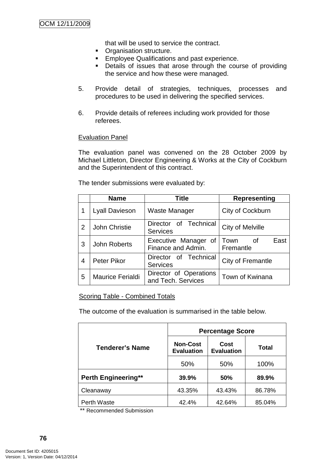that will be used to service the contract.

- **Organisation structure.**
- **Employee Qualifications and past experience.**
- **•** Details of issues that arose through the course of providing the service and how these were managed.
- 5. Provide detail of strategies, techniques, processes and procedures to be used in delivering the specified services.
- 6. Provide details of referees including work provided for those referees.

#### **Evaluation Panel**

The evaluation panel was convened on the 28 October 2009 by Michael Littleton, Director Engineering & Works at the City of Cockburn and the Superintendent of this contract.

The tender submissions were evaluated by:

|   | <b>Name</b>             | <b>Title</b>                                 | <b>Representing</b>               |  |
|---|-------------------------|----------------------------------------------|-----------------------------------|--|
|   | <b>Lyall Davieson</b>   | Waste Manager                                | City of Cockburn                  |  |
| 2 | <b>John Christie</b>    | Director of Technical<br><b>Services</b>     | City of Melville                  |  |
| 3 | <b>John Roberts</b>     | Executive Manager of<br>Finance and Admin.   | East<br>Town<br>- of<br>Fremantle |  |
| 4 | <b>Peter Pikor</b>      | Director of Technical<br><b>Services</b>     | City of Fremantle                 |  |
| 5 | <b>Maurice Ferialdi</b> | Director of Operations<br>and Tech. Services | Town of Kwinana                   |  |

### Scoring Table - Combined Totals

The outcome of the evaluation is summarised in the table below.

|                            | <b>Percentage Score</b>              |                           |        |  |
|----------------------------|--------------------------------------|---------------------------|--------|--|
| Tenderer's Name            | <b>Non-Cost</b><br><b>Evaluation</b> | Cost<br><b>Evaluation</b> | Total  |  |
|                            | 50%                                  | 50%                       | 100%   |  |
| <b>Perth Engineering**</b> | 39.9%                                | 50%                       | 89.9%  |  |
| Cleanaway                  | 43.35%                               | 43.43%                    | 86.78% |  |
| Perth Waste                | 42.4%                                | 42.64%                    | 85.04% |  |

\*\* Recommended Submission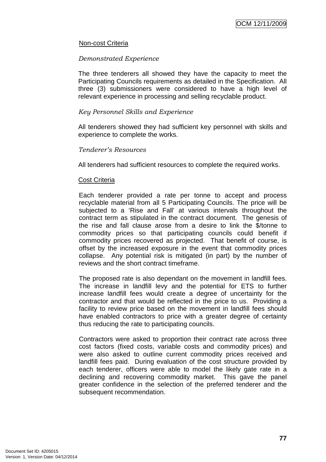### Non-cost Criteria

#### Demonstrated Experience

The three tenderers all showed they have the capacity to meet the Participating Councils requirements as detailed in the Specification. All three (3) submissioners were considered to have a high level of relevant experience in processing and selling recyclable product.

#### Key Personnel Skills and Experience

All tenderers showed they had sufficient key personnel with skills and experience to complete the works.

#### Tenderer's Resources

All tenderers had sufficient resources to complete the required works.

#### Cost Criteria

Each tenderer provided a rate per tonne to accept and process recyclable material from all 5 Participating Councils. The price will be subjected to a 'Rise and Fall' at various intervals throughout the contract term as stipulated in the contract document. The genesis of the rise and fall clause arose from a desire to link the \$/tonne to commodity prices so that participating councils could benefit if commodity prices recovered as projected. That benefit of course, is offset by the increased exposure in the event that commodity prices collapse. Any potential risk is mitigated (in part) by the number of reviews and the short contract timeframe.

The proposed rate is also dependant on the movement in landfill fees. The increase in landfill levy and the potential for ETS to further increase landfill fees would create a degree of uncertainty for the contractor and that would be reflected in the price to us. Providing a facility to review price based on the movement in landfill fees should have enabled contractors to price with a greater degree of certainty thus reducing the rate to participating councils.

Contractors were asked to proportion their contract rate across three cost factors (fixed costs, variable costs and commodity prices) and were also asked to outline current commodity prices received and landfill fees paid. During evaluation of the cost structure provided by each tenderer, officers were able to model the likely gate rate in a declining and recovering commodity market. This gave the panel greater confidence in the selection of the preferred tenderer and the subsequent recommendation.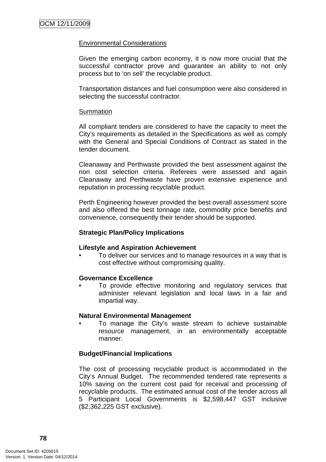### Environmental Considerations

Given the emerging carbon economy, it is now more crucial that the successful contractor prove and guarantee an ability to not only process but to 'on sell' the recyclable product.

Transportation distances and fuel consumption were also considered in selecting the successful contractor.

#### Summation

All compliant tenders are considered to have the capacity to meet the City's requirements as detailed in the Specifications as well as comply with the General and Special Conditions of Contract as stated in the tender document.

Cleanaway and Perthwaste provided the best assessment against the non cost selection criteria. Referees were assessed and again Cleanaway and Perthwaste have proven extensive experience and reputation in processing recyclable product.

Perth Engineering however provided the best overall assessment score and also offered the best tonnage rate, commodity price benefits and convenience, consequently their tender should be supported.

### **Strategic Plan/Policy Implications**

### **Lifestyle and Aspiration Achievement**

• To deliver our services and to manage resources in a way that is cost effective without compromising quality.

### **Governance Excellence**

To provide effective monitoring and regulatory services that administer relevant legislation and local laws in a fair and impartial way.

#### **Natural Environmental Management**

• To manage the City's waste stream to achieve sustainable resource management, in an environmentally acceptable manner.

### **Budget/Financial Implications**

The cost of processing recyclable product is accommodated in the City's Annual Budget. The recommended tendered rate represents a 10% saving on the current cost paid for receival and processing of recyclable products. The estimated annual cost of the tender across all 5 Participant Local Governments is \$2,598,447 GST inclusive (\$2,362,225 GST exclusive).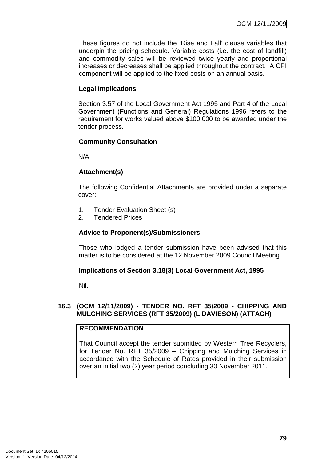These figures do not include the 'Rise and Fall' clause variables that underpin the pricing schedule. Variable costs (i.e. the cost of landfill) and commodity sales will be reviewed twice yearly and proportional increases or decreases shall be applied throughout the contract. A CPI component will be applied to the fixed costs on an annual basis.

## **Legal Implications**

Section 3.57 of the Local Government Act 1995 and Part 4 of the Local Government (Functions and General) Regulations 1996 refers to the requirement for works valued above \$100,000 to be awarded under the tender process.

### **Community Consultation**

N/A

### **Attachment(s)**

The following Confidential Attachments are provided under a separate cover:

- 1. Tender Evaluation Sheet (s)
- 2. Tendered Prices

## **Advice to Proponent(s)/Submissioners**

Those who lodged a tender submission have been advised that this matter is to be considered at the 12 November 2009 Council Meeting.

### **Implications of Section 3.18(3) Local Government Act, 1995**

Nil.

### **16.3 (OCM 12/11/2009) - TENDER NO. RFT 35/2009 - CHIPPING AND MULCHING SERVICES (RFT 35/2009) (L DAVIESON) (ATTACH)**

### **RECOMMENDATION**

That Council accept the tender submitted by Western Tree Recyclers, for Tender No. RFT 35/2009 – Chipping and Mulching Services in accordance with the Schedule of Rates provided in their submission over an initial two (2) year period concluding 30 November 2011.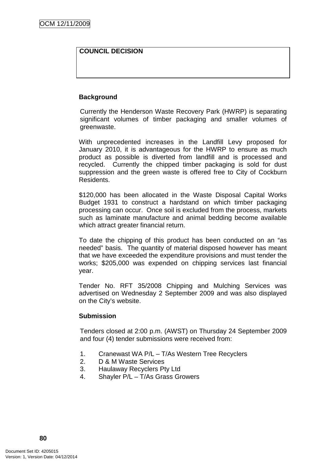# **COUNCIL DECISION**

### **Background**

Currently the Henderson Waste Recovery Park (HWRP) is separating significant volumes of timber packaging and smaller volumes of greenwaste.

With unprecedented increases in the Landfill Levy proposed for January 2010, it is advantageous for the HWRP to ensure as much product as possible is diverted from landfill and is processed and recycled. Currently the chipped timber packaging is sold for dust suppression and the green waste is offered free to City of Cockburn Residents.

\$120,000 has been allocated in the Waste Disposal Capital Works Budget 1931 to construct a hardstand on which timber packaging processing can occur. Once soil is excluded from the process, markets such as laminate manufacture and animal bedding become available which attract greater financial return.

To date the chipping of this product has been conducted on an "as needed" basis. The quantity of material disposed however has meant that we have exceeded the expenditure provisions and must tender the works; \$205,000 was expended on chipping services last financial year.

Tender No. RFT 35/2008 Chipping and Mulching Services was advertised on Wednesday 2 September 2009 and was also displayed on the City's website.

### **Submission**

Tenders closed at 2:00 p.m. (AWST) on Thursday 24 September 2009 and four (4) tender submissions were received from:

- 1. Cranewast WA P/L T/As Western Tree Recyclers
- 2. D & M Waste Services
- 3. Haulaway Recyclers Pty Ltd
- 4. Shayler P/L T/As Grass Growers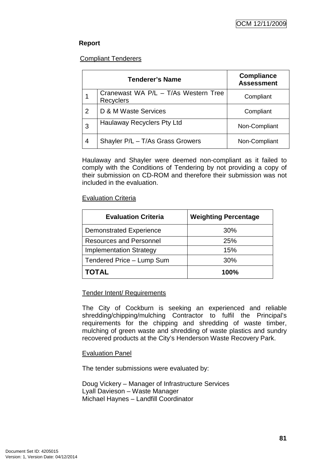# **Report**

## Compliant Tenderers

|   | <b>Tenderer's Name</b>                                   | <b>Compliance</b><br><b>Assessment</b> |
|---|----------------------------------------------------------|----------------------------------------|
|   | Cranewast WA P/L - T/As Western Tree<br><b>Recyclers</b> | Compliant                              |
| 2 | D & M Waste Services                                     | Compliant                              |
| 3 | Haulaway Recyclers Pty Ltd                               | Non-Compliant                          |
| 4 | Shayler P/L - T/As Grass Growers                         | Non-Compliant                          |

Haulaway and Shayler were deemed non-compliant as it failed to comply with the Conditions of Tendering by not providing a copy of their submission on CD-ROM and therefore their submission was not included in the evaluation.

### Evaluation Criteria

| <b>Evaluation Criteria</b>     | <b>Weighting Percentage</b> |
|--------------------------------|-----------------------------|
| <b>Demonstrated Experience</b> | 30%                         |
| <b>Resources and Personnel</b> | <b>25%</b>                  |
| <b>Implementation Strategy</b> | 15%                         |
| Tendered Price - Lump Sum      | 30%                         |
| <b>TOTAL</b>                   | 100%                        |

### Tender Intent/ Requirements

The City of Cockburn is seeking an experienced and reliable shredding/chipping/mulching Contractor to fulfil the Principal's requirements for the chipping and shredding of waste timber, mulching of green waste and shredding of waste plastics and sundry recovered products at the City's Henderson Waste Recovery Park.

### Evaluation Panel

The tender submissions were evaluated by:

Doug Vickery – Manager of Infrastructure Services Lyall Davieson – Waste Manager Michael Haynes – Landfill Coordinator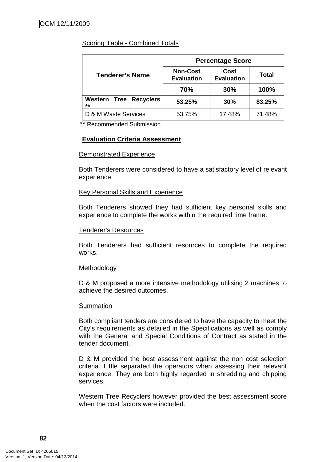# Scoring Table - Combined Totals

|                                        | <b>Percentage Score</b>              |                           |        |
|----------------------------------------|--------------------------------------|---------------------------|--------|
| <b>Tenderer's Name</b>                 | <b>Non-Cost</b><br><b>Evaluation</b> | Cost<br><b>Evaluation</b> | Total  |
|                                        | 70%                                  | 30%                       | 100%   |
| <b>Western Tree Recyclers</b><br>$***$ | 53.25%                               | 30%                       | 83.25% |
| D & M Waste Services                   | 53.75%                               | 17.48%                    | 71.48% |

\*\* Recommended Submission

### **Evaluation Criteria Assessment**

#### Demonstrated Experience

Both Tenderers were considered to have a satisfactory level of relevant experience.

#### Key Personal Skills and Experience

Both Tenderers showed they had sufficient key personal skills and experience to complete the works within the required time frame.

#### Tenderer's Resources

Both Tenderers had sufficient resources to complete the required works.

### Methodology

D & M proposed a more intensive methodology utilising 2 machines to achieve the desired outcomes.

#### **Summation**

Both compliant tenders are considered to have the capacity to meet the City's requirements as detailed in the Specifications as well as comply with the General and Special Conditions of Contract as stated in the tender document.

D & M provided the best assessment against the non cost selection criteria. Little separated the operators when assessing their relevant experience. They are both highly regarded in shredding and chipping services.

Western Tree Recyclers however provided the best assessment score when the cost factors were included.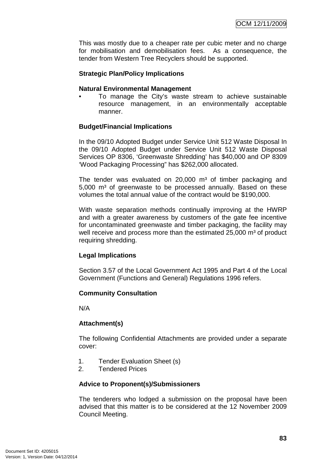This was mostly due to a cheaper rate per cubic meter and no charge for mobilisation and demobilisation fees. As a consequence, the tender from Western Tree Recyclers should be supported.

### **Strategic Plan/Policy Implications**

#### **Natural Environmental Management**

• To manage the City's waste stream to achieve sustainable resource management, in an environmentally acceptable manner.

#### **Budget/Financial Implications**

In the 09/10 Adopted Budget under Service Unit 512 Waste Disposal In the 09/10 Adopted Budget under Service Unit 512 Waste Disposal Services OP 8306, 'Greenwaste Shredding' has \$40,000 and OP 8309 'Wood Packaging Processing" has \$262,000 allocated.

The tender was evaluated on  $20,000$  m<sup>3</sup> of timber packaging and  $5,000$  m<sup>3</sup> of greenwaste to be processed annually. Based on these volumes the total annual value of the contract would be \$190,000.

With waste separation methods continually improving at the HWRP and with a greater awareness by customers of the gate fee incentive for uncontaminated greenwaste and timber packaging, the facility may well receive and process more than the estimated 25,000 m<sup>3</sup> of product requiring shredding.

#### **Legal Implications**

Section 3.57 of the Local Government Act 1995 and Part 4 of the Local Government (Functions and General) Regulations 1996 refers.

### **Community Consultation**

N/A

### **Attachment(s)**

The following Confidential Attachments are provided under a separate cover:

- 1. Tender Evaluation Sheet (s)
- 2. Tendered Prices

#### **Advice to Proponent(s)/Submissioners**

The tenderers who lodged a submission on the proposal have been advised that this matter is to be considered at the 12 November 2009 Council Meeting.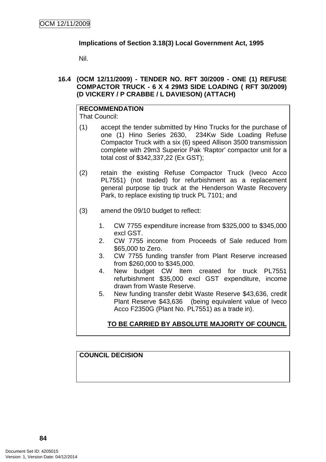## **Implications of Section 3.18(3) Local Government Act, 1995**

Nil.

### **16.4 (OCM 12/11/2009) - TENDER NO. RFT 30/2009 - ONE (1) REFUSE COMPACTOR TRUCK - 6 X 4 29M3 SIDE LOADING ( RFT 30/2009) (D VICKERY / P CRABBE / L DAVIESON) (ATTACH)**

# **RECOMMENDATION**

That Council:

- (1) accept the tender submitted by Hino Trucks for the purchase of one (1) Hino Series 2630, 234Kw Side Loading Refuse Compactor Truck with a six (6) speed Allison 3500 transmission complete with 29m3 Superior Pak 'Raptor' compactor unit for a total cost of \$342,337,22 (Ex GST);
- (2) retain the existing Refuse Compactor Truck (Iveco Acco PL7551) (not traded) for refurbishment as a replacement general purpose tip truck at the Henderson Waste Recovery Park, to replace existing tip truck PL 7101; and
- (3) amend the 09/10 budget to reflect:
	- 1. CW 7755 expenditure increase from \$325,000 to \$345,000 excl GST.
	- 2. CW 7755 income from Proceeds of Sale reduced from \$65,000 to Zero.
	- 3. CW 7755 funding transfer from Plant Reserve increased from \$260,000 to \$345,000.
	- 4. New budget CW Item created for truck PL7551 refurbishment \$35,000 excl GST expenditure, income drawn from Waste Reserve.
	- 5. New funding transfer debit Waste Reserve \$43,636, credit Plant Reserve \$43,636 (being equivalent value of Iveco Acco F2350G (Plant No. PL7551) as a trade in).

# **TO BE CARRIED BY ABSOLUTE MAJORITY OF COUNCIL**

# **COUNCIL DECISION**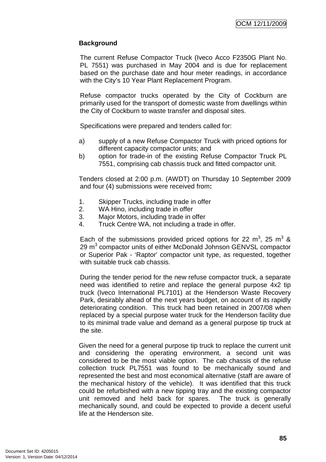## **Background**

The current Refuse Compactor Truck (Iveco Acco F2350G Plant No. PL 7551) was purchased in May 2004 and is due for replacement based on the purchase date and hour meter readings, in accordance with the City's 10 Year Plant Replacement Program.

Refuse compactor trucks operated by the City of Cockburn are primarily used for the transport of domestic waste from dwellings within the City of Cockburn to waste transfer and disposal sites.

Specifications were prepared and tenders called for:

- a) supply of a new Refuse Compactor Truck with priced options for different capacity compactor units; and
- b) option for trade-in of the existing Refuse Compactor Truck PL 7551, comprising cab chassis truck and fitted compactor unit.

Tenders closed at 2:00 p.m. (AWDT) on Thursday 10 September 2009 and four (4) submissions were received from**:** 

- 1. Skipper Trucks, including trade in offer
- 2. WA Hino, including trade in offer
- 3. Major Motors, including trade in offer
- 4. Truck Centre WA, not including a trade in offer.

Each of the submissions provided priced options for 22 m<sup>3</sup>, 25 m<sup>3</sup> & 29  $\text{m}^3$  compactor units of either McDonald Johnson GENVSL compactor or Superior Pak - 'Raptor' compactor unit type, as requested, together with suitable truck cab chassis.

During the tender period for the new refuse compactor truck, a separate need was identified to retire and replace the general purpose 4x2 tip truck (Iveco International PL7101) at the Henderson Waste Recovery Park, desirably ahead of the next years budget, on account of its rapidly deteriorating condition. This truck had been retained in 2007/08 when replaced by a special purpose water truck for the Henderson facility due to its minimal trade value and demand as a general purpose tip truck at the site.

Given the need for a general purpose tip truck to replace the current unit and considering the operating environment, a second unit was considered to be the most viable option. The cab chassis of the refuse collection truck PL7551 was found to be mechanically sound and represented the best and most economical alternative (staff are aware of the mechanical history of the vehicle). It was identified that this truck could be refurbished with a new tipping tray and the existing compactor unit removed and held back for spares. The truck is generally mechanically sound, and could be expected to provide a decent useful life at the Henderson site.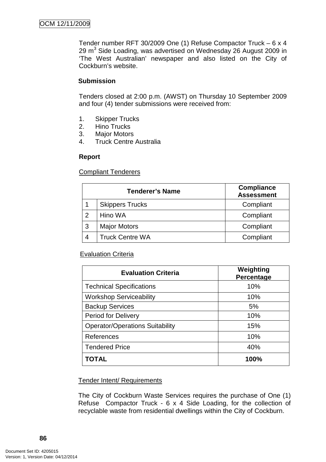Tender number RFT 30/2009 One (1) Refuse Compactor Truck – 6 x 4 29 m $3$  Side Loading, was advertised on Wednesday 26 August 2009 in 'The West Australian' newspaper and also listed on the City of Cockburn's website.

## **Submission**

Tenders closed at 2:00 p.m. (AWST) on Thursday 10 September 2009 and four (4) tender submissions were received from:

- 1. Skipper Trucks
- 2. Hino Trucks
- 3. Major Motors
- 4. Truck Centre Australia

### **Report**

Compliant Tenderers

| <b>Tenderer's Name</b> |                        | <b>Compliance</b><br><b>Assessment</b> |
|------------------------|------------------------|----------------------------------------|
|                        | <b>Skippers Trucks</b> | Compliant                              |
| - 2                    | Hino WA                | Compliant                              |
| -3                     | <b>Major Motors</b>    | Compliant                              |
|                        | <b>Truck Centre WA</b> | Compliant                              |

# **Evaluation Criteria**

| <b>Evaluation Criteria</b>             | Weighting<br>Percentage |
|----------------------------------------|-------------------------|
| <b>Technical Specifications</b>        | 10%                     |
| <b>Workshop Serviceability</b>         | 10%                     |
| <b>Backup Services</b>                 | 5%                      |
| <b>Period for Delivery</b>             | 10%                     |
| <b>Operator/Operations Suitability</b> | 15%                     |
| References                             | 10%                     |
| <b>Tendered Price</b>                  | 40%                     |
| <b>TOTAL</b>                           | 100%                    |

### Tender Intent/ Requirements

The City of Cockburn Waste Services requires the purchase of One (1) Refuse Compactor Truck - 6 x 4 Side Loading, for the collection of recyclable waste from residential dwellings within the City of Cockburn.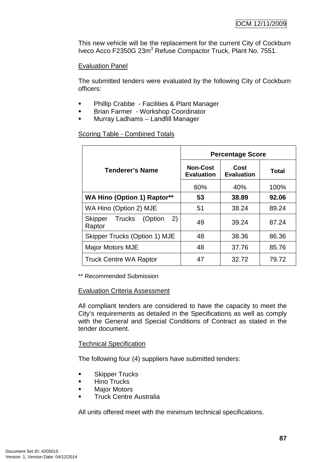This new vehicle will be the replacement for the current City of Cockburn Iveco Acco F2350G 23m<sup>3</sup> Refuse Compactor Truck, Plant No. 7551.

### Evaluation Panel

The submitted tenders were evaluated by the following City of Cockburn officers:

- **•** Phillip Crabbe Facilities & Plant Manager
- **Brian Farmer Workshop Coordinator**
- **Murray Ladhams Landfill Manager**

### Scoring Table - Combined Totals

|                                            | <b>Percentage Score</b>              |                           |       |
|--------------------------------------------|--------------------------------------|---------------------------|-------|
| <b>Tenderer's Name</b>                     | <b>Non-Cost</b><br><b>Evaluation</b> | Cost<br><b>Evaluation</b> | Total |
|                                            | 60%                                  | 40%                       | 100%  |
| <b>WA Hino (Option 1) Raptor**</b>         | 53                                   | 38.89                     | 92.06 |
| WA Hino (Option 2) MJE                     | 51                                   | 38.24                     | 89.24 |
| (2)<br>Trucks (Option<br>Skipper<br>Raptor | 49                                   | 39.24                     | 87.24 |
| Skipper Trucks (Option 1) MJE              | 48                                   | 38.36                     | 86.36 |
| <b>Major Motors MJE</b>                    | 48                                   | 37.76                     | 85.76 |
| <b>Truck Centre WA Raptor</b>              | 47                                   | 32.72                     | 79.72 |

\*\* Recommended Submission

### Evaluation Criteria Assessment

All compliant tenders are considered to have the capacity to meet the City's requirements as detailed in the Specifications as well as comply with the General and Special Conditions of Contract as stated in the tender document.

### Technical Specification

The following four (4) suppliers have submitted tenders:

- **Skipper Trucks**
- $\blacksquare$  Hino Trucks
- **Major Motors**
- **Truck Centre Australia**

All units offered meet with the minimum technical specifications.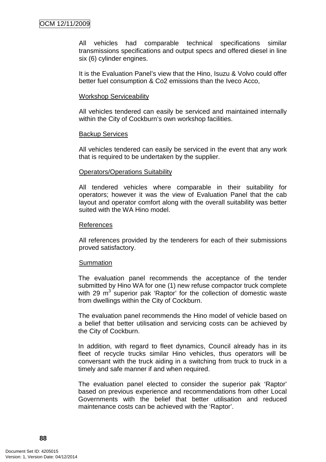All vehicles had comparable technical specifications similar transmissions specifications and output specs and offered diesel in line six (6) cylinder engines.

It is the Evaluation Panel's view that the Hino, Isuzu & Volvo could offer better fuel consumption & Co2 emissions than the Iveco Acco,

#### Workshop Serviceability

All vehicles tendered can easily be serviced and maintained internally within the City of Cockburn's own workshop facilities.

#### Backup Services

All vehicles tendered can easily be serviced in the event that any work that is required to be undertaken by the supplier.

### Operators/Operations Suitability

All tendered vehicles where comparable in their suitability for operators; however it was the view of Evaluation Panel that the cab layout and operator comfort along with the overall suitability was better suited with the WA Hino model.

#### References

All references provided by the tenderers for each of their submissions proved satisfactory.

### **Summation**

The evaluation panel recommends the acceptance of the tender submitted by Hino WA for one (1) new refuse compactor truck complete with 29  $m^3$  superior pak 'Raptor' for the collection of domestic waste from dwellings within the City of Cockburn.

The evaluation panel recommends the Hino model of vehicle based on a belief that better utilisation and servicing costs can be achieved by the City of Cockburn.

In addition, with regard to fleet dynamics, Council already has in its fleet of recycle trucks similar Hino vehicles, thus operators will be conversant with the truck aiding in a switching from truck to truck in a timely and safe manner if and when required.

The evaluation panel elected to consider the superior pak 'Raptor' based on previous experience and recommendations from other Local Governments with the belief that better utilisation and reduced maintenance costs can be achieved with the 'Raptor'.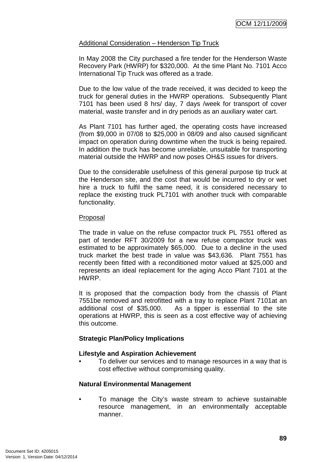### Additional Consideration – Henderson Tip Truck

In May 2008 the City purchased a fire tender for the Henderson Waste Recovery Park (HWRP) for \$320,000. At the time Plant No. 7101 Acco International Tip Truck was offered as a trade.

Due to the low value of the trade received, it was decided to keep the truck for general duties in the HWRP operations. Subsequently Plant 7101 has been used 8 hrs/ day, 7 days /week for transport of cover material, waste transfer and in dry periods as an auxiliary water cart.

As Plant 7101 has further aged, the operating costs have increased (from \$9,000 in 07/08 to \$25,000 in 08/09 and also caused significant impact on operation during downtime when the truck is being repaired. In addition the truck has become unreliable, unsuitable for transporting material outside the HWRP and now poses OH&S issues for drivers.

Due to the considerable usefulness of this general purpose tip truck at the Henderson site, and the cost that would be incurred to dry or wet hire a truck to fulfil the same need, it is considered necessary to replace the existing truck PL7101 with another truck with comparable functionality.

#### Proposal

The trade in value on the refuse compactor truck PL 7551 offered as part of tender RFT 30/2009 for a new refuse compactor truck was estimated to be approximately \$65,000. Due to a decline in the used truck market the best trade in value was \$43,636. Plant 7551 has recently been fitted with a reconditioned motor valued at \$25,000 and represents an ideal replacement for the aging Acco Plant 7101 at the HWRP.

It is proposed that the compaction body from the chassis of Plant 7551be removed and retrofitted with a tray to replace Plant 7101at an additional cost of \$35,000. As a tipper is essential to the site operations at HWRP, this is seen as a cost effective way of achieving this outcome.

### **Strategic Plan/Policy Implications**

### **Lifestyle and Aspiration Achievement**

• To deliver our services and to manage resources in a way that is cost effective without compromising quality.

### **Natural Environmental Management**

• To manage the City's waste stream to achieve sustainable resource management, in an environmentally acceptable manner.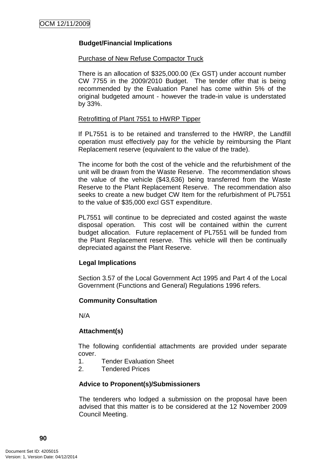## **Budget/Financial Implications**

#### Purchase of New Refuse Compactor Truck

There is an allocation of \$325,000.00 (Ex GST) under account number CW 7755 in the 2009/2010 Budget. The tender offer that is being recommended by the Evaluation Panel has come within 5% of the original budgeted amount - however the trade-in value is understated by 33%.

#### Retrofitting of Plant 7551 to HWRP Tipper

If PL7551 is to be retained and transferred to the HWRP, the Landfill operation must effectively pay for the vehicle by reimbursing the Plant Replacement reserve (equivalent to the value of the trade).

The income for both the cost of the vehicle and the refurbishment of the unit will be drawn from the Waste Reserve. The recommendation shows the value of the vehicle (\$43,636) being transferred from the Waste Reserve to the Plant Replacement Reserve. The recommendation also seeks to create a new budget CW Item for the refurbishment of PL7551 to the value of \$35,000 excl GST expenditure.

PL7551 will continue to be depreciated and costed against the waste disposal operation. This cost will be contained within the current budget allocation. Future replacement of PL7551 will be funded from the Plant Replacement reserve. This vehicle will then be continually depreciated against the Plant Reserve.

# **Legal Implications**

Section 3.57 of the Local Government Act 1995 and Part 4 of the Local Government (Functions and General) Regulations 1996 refers.

### **Community Consultation**

N/A

### **Attachment(s)**

The following confidential attachments are provided under separate cover.

- 1. Tender Evaluation Sheet
- 2. Tendered Prices

### **Advice to Proponent(s)/Submissioners**

The tenderers who lodged a submission on the proposal have been advised that this matter is to be considered at the 12 November 2009 Council Meeting.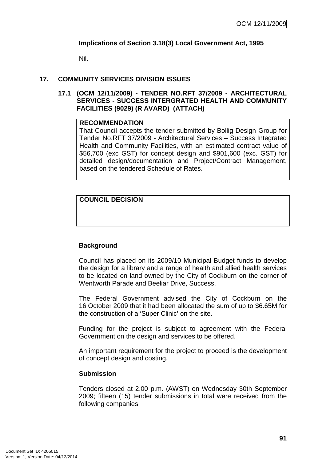### **Implications of Section 3.18(3) Local Government Act, 1995**

Nil.

### **17. COMMUNITY SERVICES DIVISION ISSUES**

**17.1 (OCM 12/11/2009) - TENDER NO.RFT 37/2009 - ARCHITECTURAL SERVICES - SUCCESS INTERGRATED HEALTH AND COMMUNITY FACILITIES (9029) (R AVARD) (ATTACH)** 

### **RECOMMENDATION**

That Council accepts the tender submitted by Bollig Design Group for Tender No.RFT 37/2009 - Architectural Services – Success Integrated Health and Community Facilities, with an estimated contract value of \$56,700 (exc GST) for concept design and \$901,600 (exc. GST) for detailed design/documentation and Project/Contract Management, based on the tendered Schedule of Rates.

**COUNCIL DECISION** 

# **Background**

Council has placed on its 2009/10 Municipal Budget funds to develop the design for a library and a range of health and allied health services to be located on land owned by the City of Cockburn on the corner of Wentworth Parade and Beeliar Drive, Success.

The Federal Government advised the City of Cockburn on the 16 October 2009 that it had been allocated the sum of up to \$6.65M for the construction of a 'Super Clinic' on the site.

Funding for the project is subject to agreement with the Federal Government on the design and services to be offered.

An important requirement for the project to proceed is the development of concept design and costing.

#### **Submission**

Tenders closed at 2.00 p.m. (AWST) on Wednesday 30th September 2009; fifteen (15) tender submissions in total were received from the following companies: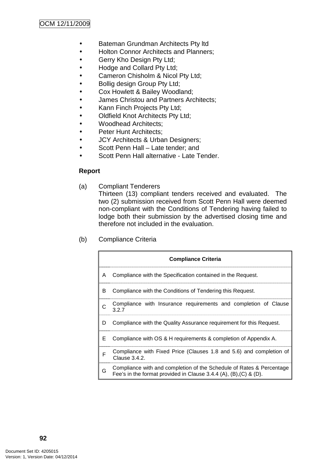- Bateman Grundman Architects Pty ltd
- Holton Connor Architects and Planners;
- Gerry Kho Design Pty Ltd;
- Hodge and Collard Pty Ltd;
- Cameron Chisholm & Nicol Pty Ltd;
- Bollig design Group Pty Ltd;
- Cox Howlett & Bailey Woodland;
- James Christou and Partners Architects;
- Kann Finch Projects Pty Ltd;
- Oldfield Knot Architects Pty Ltd;
- Woodhead Architects;
- Peter Hunt Architects;
- JCY Architects & Urban Designers;
- Scott Penn Hall Late tender; and
- Scott Penn Hall alternative Late Tender.

### **Report**

(a) Compliant Tenderers

Thirteen (13) compliant tenders received and evaluated. The two (2) submission received from Scott Penn Hall were deemed non-compliant with the Conditions of Tendering having failed to lodge both their submission by the advertised closing time and therefore not included in the evaluation.

(b) Compliance Criteria

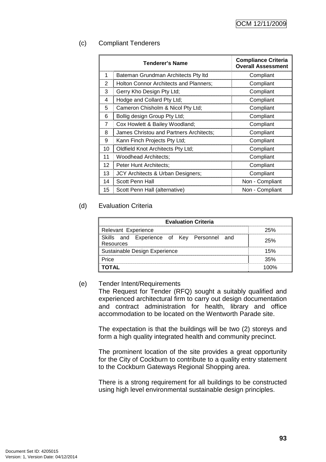### (c) Compliant Tenderers

| Tenderer's Name |                                         | <b>Compliance Criteria</b><br><b>Overall Assessment</b> |
|-----------------|-----------------------------------------|---------------------------------------------------------|
| 1               | Bateman Grundman Architects Pty Itd     | Compliant                                               |
| $\mathcal{P}$   | Holton Connor Architects and Planners;  | Compliant                                               |
| 3               | Gerry Kho Design Pty Ltd;               | Compliant                                               |
| 4               | Hodge and Collard Pty Ltd;              | Compliant                                               |
| 5               | Cameron Chisholm & Nicol Pty Ltd;       | Compliant                                               |
| 6               | Bollig design Group Pty Ltd;            | Compliant                                               |
| 7               | Cox Howlett & Bailey Woodland;          | Compliant                                               |
| 8               | James Christou and Partners Architects; | Compliant                                               |
| 9               | Kann Finch Projects Pty Ltd;            | Compliant                                               |
| 10              | Oldfield Knot Architects Pty Ltd;       | Compliant                                               |
| 11              | <b>Woodhead Architects;</b>             | Compliant                                               |
| 12              | Peter Hunt Architects:                  | Compliant                                               |
| 13              | JCY Architects & Urban Designers;       | Compliant                                               |
| 14              | Scott Penn Hall                         | Non - Compliant                                         |
| 15              | Scott Penn Hall (alternative)           | Non - Compliant                                         |

### (d) Evaluation Criteria

| <b>Evaluation Criteria</b>                                     |     |  |  |  |
|----------------------------------------------------------------|-----|--|--|--|
| Relevant Experience                                            | 25% |  |  |  |
| Skills and Experience of Key Personnel and<br>25%<br>Resources |     |  |  |  |
| Sustainable Design Experience                                  | 15% |  |  |  |
| Price                                                          | 35% |  |  |  |
| OTAL                                                           |     |  |  |  |

### (e) Tender Intent/Requirements

The Request for Tender (RFQ) sought a suitably qualified and experienced architectural firm to carry out design documentation and contract administration for health, library and office accommodation to be located on the Wentworth Parade site.

The expectation is that the buildings will be two (2) storeys and form a high quality integrated health and community precinct.

The prominent location of the site provides a great opportunity for the City of Cockburn to contribute to a quality entry statement to the Cockburn Gateways Regional Shopping area.

There is a strong requirement for all buildings to be constructed using high level environmental sustainable design principles.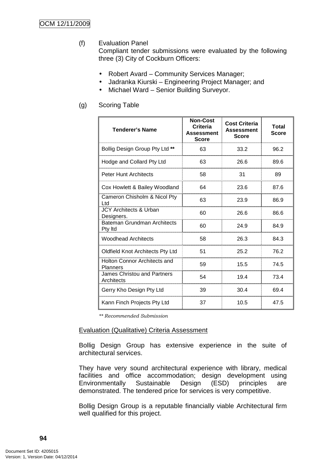(f) Evaluation Panel

Compliant tender submissions were evaluated by the following three (3) City of Cockburn Officers:

- Robert Avard Community Services Manager;
- Jadranka Kiurski Engineering Project Manager; and
- Michael Ward Senior Building Surveyor.

## (g) Scoring Table

| <b>Tenderer's Name</b>                           | <b>Non-Cost</b><br>Criteria<br><b>Assessment</b><br><b>Score</b> | <b>Cost Criteria</b><br><b>Assessment</b><br><b>Score</b> | Total<br><b>Score</b> |
|--------------------------------------------------|------------------------------------------------------------------|-----------------------------------------------------------|-----------------------|
| Bollig Design Group Pty Ltd **                   | 63                                                               | 33.2                                                      | 96.2                  |
| Hodge and Collard Pty Ltd                        | 63                                                               | 26.6                                                      | 89.6                  |
| <b>Peter Hunt Architects</b>                     | 58                                                               | 31                                                        | 89                    |
| Cox Howlett & Bailey Woodland                    | 64                                                               | 23.6                                                      | 87.6                  |
| Cameron Chisholm & Nicol Pty<br>Ltd              | 63                                                               | 23.9                                                      | 86.9                  |
| JCY Architects & Urban<br>Designers.             | 60                                                               | 26.6                                                      | 86.6                  |
| Bateman Grundman Architects<br>Pty Itd           | 60                                                               | 24.9                                                      | 84.9                  |
| <b>Woodhead Architects</b>                       | 58                                                               | 26.3                                                      | 84.3                  |
| Oldfield Knot Architects Pty Ltd                 | 51                                                               | 25.2                                                      | 76.2                  |
| Holton Connor Architects and<br><b>Planners</b>  | 59                                                               | 15.5                                                      | 74.5                  |
| <b>James Christou and Partners</b><br>Architects | 54                                                               | 19.4                                                      | 73.4                  |
| Gerry Kho Design Pty Ltd                         | 39                                                               | 30.4                                                      | 69.4                  |
| Kann Finch Projects Pty Ltd                      | 37                                                               | 10.5                                                      | 47.5                  |

\*\* Recommended Submission

### Evaluation (Qualitative) Criteria Assessment

Bollig Design Group has extensive experience in the suite of architectural services.

They have very sound architectural experience with library, medical facilities and office accommodation; design development using Environmentally Sustainable Design (ESD) principles are demonstrated. The tendered price for services is very competitive.

Bollig Design Group is a reputable financially viable Architectural firm well qualified for this project.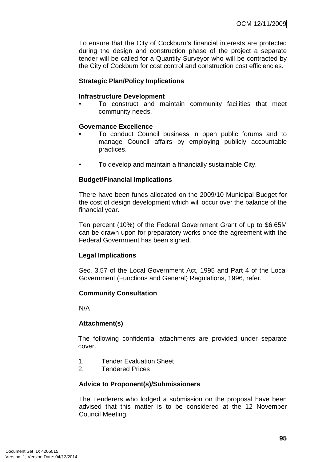To ensure that the City of Cockburn's financial interests are protected during the design and construction phase of the project a separate tender will be called for a Quantity Surveyor who will be contracted by the City of Cockburn for cost control and construction cost efficiencies.

### **Strategic Plan/Policy Implications**

#### **Infrastructure Development**

• To construct and maintain community facilities that meet community needs.

### **Governance Excellence**

- To conduct Council business in open public forums and to manage Council affairs by employing publicly accountable practices.
- To develop and maintain a financially sustainable City.

### **Budget/Financial Implications**

There have been funds allocated on the 2009/10 Municipal Budget for the cost of design development which will occur over the balance of the financial year.

Ten percent (10%) of the Federal Government Grant of up to \$6.65M can be drawn upon for preparatory works once the agreement with the Federal Government has been signed.

### **Legal Implications**

Sec. 3.57 of the Local Government Act, 1995 and Part 4 of the Local Government (Functions and General) Regulations, 1996, refer.

### **Community Consultation**

N/A

### **Attachment(s)**

The following confidential attachments are provided under separate cover.

- 1. Tender Evaluation Sheet
- 2. Tendered Prices

#### **Advice to Proponent(s)/Submissioners**

The Tenderers who lodged a submission on the proposal have been advised that this matter is to be considered at the 12 November Council Meeting.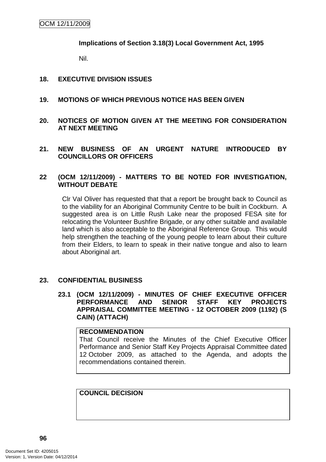**Implications of Section 3.18(3) Local Government Act, 1995**

Nil.

### **18. EXECUTIVE DIVISION ISSUES**

- **19. MOTIONS OF WHICH PREVIOUS NOTICE HAS BEEN GIVEN**
- **20. NOTICES OF MOTION GIVEN AT THE MEETING FOR CONSIDERATION AT NEXT MEETING**
- **21. NEW BUSINESS OF AN URGENT NATURE INTRODUCED BY COUNCILLORS OR OFFICERS**

### **22 (OCM 12/11/2009) - MATTERS TO BE NOTED FOR INVESTIGATION, WITHOUT DEBATE**

Clr Val Oliver has requested that that a report be brought back to Council as to the viability for an Aboriginal Community Centre to be built in Cockburn. A suggested area is on Little Rush Lake near the proposed FESA site for relocating the Volunteer Bushfire Brigade, or any other suitable and available land which is also acceptable to the Aboriginal Reference Group. This would help strengthen the teaching of the young people to learn about their culture from their Elders, to learn to speak in their native tongue and also to learn about Aboriginal art.

### **23. CONFIDENTIAL BUSINESS**

**23.1 (OCM 12/11/2009) - MINUTES OF CHIEF EXECUTIVE OFFICER PERFORMANCE AND SENIOR STAFF KEY PROJECTS APPRAISAL COMMITTEE MEETING - 12 OCTOBER 2009 (1192) (S CAIN) (ATTACH)** 

#### **RECOMMENDATION**

That Council receive the Minutes of the Chief Executive Officer Performance and Senior Staff Key Projects Appraisal Committee dated 12 October 2009, as attached to the Agenda, and adopts the recommendations contained therein.

**COUNCIL DECISION**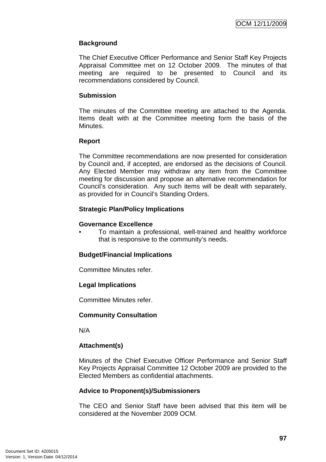# **Background**

The Chief Executive Officer Performance and Senior Staff Key Projects Appraisal Committee met on 12 October 2009. The minutes of that meeting are required to be presented to Council and its recommendations considered by Council.

### **Submission**

The minutes of the Committee meeting are attached to the Agenda. Items dealt with at the Committee meeting form the basis of the Minutes.

### **Report**

The Committee recommendations are now presented for consideration by Council and, if accepted, are endorsed as the decisions of Council. Any Elected Member may withdraw any item from the Committee meeting for discussion and propose an alternative recommendation for Council's consideration. Any such items will be dealt with separately, as provided for in Council's Standing Orders.

### **Strategic Plan/Policy Implications**

### **Governance Excellence**

• To maintain a professional, well-trained and healthy workforce that is responsive to the community's needs.

### **Budget/Financial Implications**

Committee Minutes refer.

### **Legal Implications**

Committee Minutes refer.

### **Community Consultation**

N/A

### **Attachment(s)**

Minutes of the Chief Executive Officer Performance and Senior Staff Key Projects Appraisal Committee 12 October 2009 are provided to the Elected Members as confidential attachments.

### **Advice to Proponent(s)/Submissioners**

The CEO and Senior Staff have been advised that this item will be considered at the November 2009 OCM.